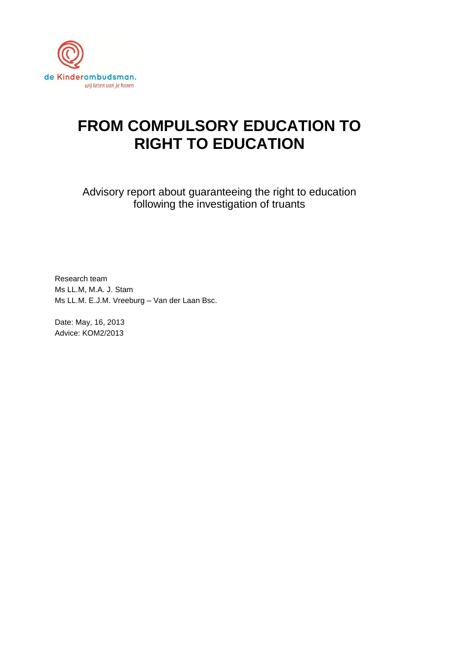

# **FROM COMPULSORY EDUCATION TO RIGHT TO EDUCATION**

Advisory report about guaranteeing the right to education following the investigation of truants

Research team Ms LL.M, M.A. J. Stam Ms LL.M. E.J.M. Vreeburg – Van der Laan Bsc.

Date: May, 16, 2013 Advice: KOM2/2013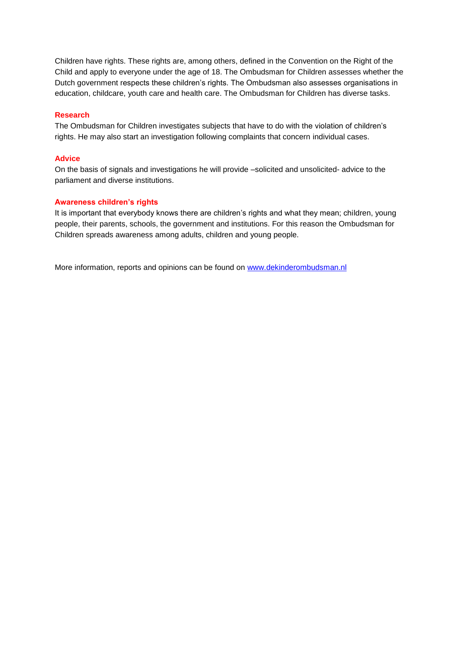Children have rights. These rights are, among others, defined in the Convention on the Right of the Child and apply to everyone under the age of 18. The Ombudsman for Children assesses whether the Dutch government respects these children's rights. The Ombudsman also assesses organisations in education, childcare, youth care and health care. The Ombudsman for Children has diverse tasks.

#### **Research**

The Ombudsman for Children investigates subjects that have to do with the violation of children's rights. He may also start an investigation following complaints that concern individual cases.

#### **Advice**

On the basis of signals and investigations he will provide –solicited and unsolicited- advice to the parliament and diverse institutions.

#### **Awareness children's rights**

It is important that everybody knows there are children's rights and what they mean; children, young people, their parents, schools, the government and institutions. For this reason the Ombudsman for Children spreads awareness among adults, children and young people.

More information, reports and opinions can be found on [www.dekinderombudsman.nl](http://www.dekinderombudsman.nl/)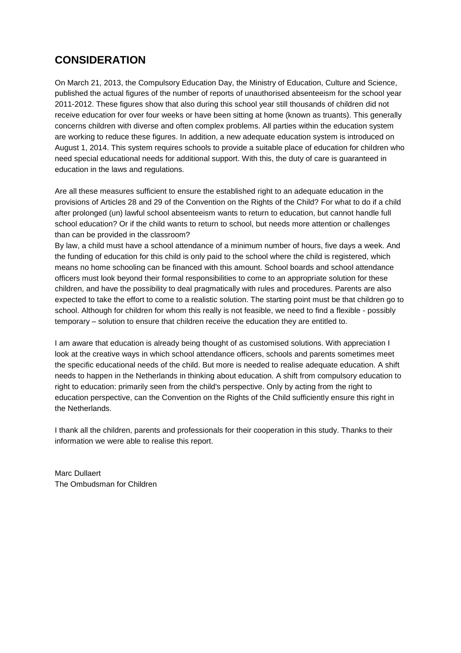## **CONSIDERATION**

On March 21, 2013, the Compulsory Education Day, the Ministry of Education, Culture and Science, published the actual figures of the number of reports of unauthorised absenteeism for the school year 2011-2012. These figures show that also during this school year still thousands of children did not receive education for over four weeks or have been sitting at home (known as truants). This generally concerns children with diverse and often complex problems. All parties within the education system are working to reduce these figures. In addition, a new adequate education system is introduced on August 1, 2014. This system requires schools to provide a suitable place of education for children who need special educational needs for additional support. With this, the duty of care is guaranteed in education in the laws and regulations.

Are all these measures sufficient to ensure the established right to an adequate education in the provisions of Articles 28 and 29 of the Convention on the Rights of the Child? For what to do if a child after prolonged (un) lawful school absenteeism wants to return to education, but cannot handle full school education? Or if the child wants to return to school, but needs more attention or challenges than can be provided in the classroom?

By law, a child must have a school attendance of a minimum number of hours, five days a week. And the funding of education for this child is only paid to the school where the child is registered, which means no home schooling can be financed with this amount. School boards and school attendance officers must look beyond their formal responsibilities to come to an appropriate solution for these children, and have the possibility to deal pragmatically with rules and procedures. Parents are also expected to take the effort to come to a realistic solution. The starting point must be that children go to school. Although for children for whom this really is not feasible, we need to find a flexible - possibly temporary – solution to ensure that children receive the education they are entitled to.

I am aware that education is already being thought of as customised solutions. With appreciation I look at the creative ways in which school attendance officers, schools and parents sometimes meet the specific educational needs of the child. But more is needed to realise adequate education. A shift needs to happen in the Netherlands in thinking about education. A shift from compulsory education to right to education: primarily seen from the child's perspective. Only by acting from the right to education perspective, can the Convention on the Rights of the Child sufficiently ensure this right in the Netherlands.

I thank all the children, parents and professionals for their cooperation in this study. Thanks to their information we were able to realise this report.

Marc Dullaert The Ombudsman for Children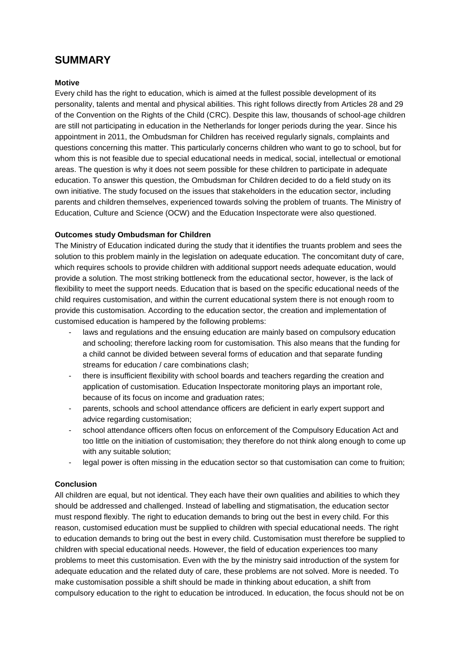## **SUMMARY**

#### **Motive**

Every child has the right to education, which is aimed at the fullest possible development of its personality, talents and mental and physical abilities. This right follows directly from Articles 28 and 29 of the Convention on the Rights of the Child (CRC). Despite this law, thousands of school-age children are still not participating in education in the Netherlands for longer periods during the year. Since his appointment in 2011, the Ombudsman for Children has received regularly signals, complaints and questions concerning this matter. This particularly concerns children who want to go to school, but for whom this is not feasible due to special educational needs in medical, social, intellectual or emotional areas. The question is why it does not seem possible for these children to participate in adequate education. To answer this question, the Ombudsman for Children decided to do a field study on its own initiative. The study focused on the issues that stakeholders in the education sector, including parents and children themselves, experienced towards solving the problem of truants. The Ministry of Education, Culture and Science (OCW) and the Education Inspectorate were also questioned.

#### **Outcomes study Ombudsman for Children**

The Ministry of Education indicated during the study that it identifies the truants problem and sees the solution to this problem mainly in the legislation on adequate education. The concomitant duty of care, which requires schools to provide children with additional support needs adequate education, would provide a solution. The most striking bottleneck from the educational sector, however, is the lack of flexibility to meet the support needs. Education that is based on the specific educational needs of the child requires customisation, and within the current educational system there is not enough room to provide this customisation. According to the education sector, the creation and implementation of customised education is hampered by the following problems:

- laws and regulations and the ensuing education are mainly based on compulsory education and schooling; therefore lacking room for customisation. This also means that the funding for a child cannot be divided between several forms of education and that separate funding streams for education / care combinations clash;
- there is insufficient flexibility with school boards and teachers regarding the creation and application of customisation. Education Inspectorate monitoring plays an important role, because of its focus on income and graduation rates;
- parents, schools and school attendance officers are deficient in early expert support and advice regarding customisation;
- school attendance officers often focus on enforcement of the Compulsory Education Act and too little on the initiation of customisation; they therefore do not think along enough to come up with any suitable solution;
- legal power is often missing in the education sector so that customisation can come to fruition;

### **Conclusion**

All children are equal, but not identical. They each have their own qualities and abilities to which they should be addressed and challenged. Instead of labelling and stigmatisation, the education sector must respond flexibly. The right to education demands to bring out the best in every child. For this reason, customised education must be supplied to children with special educational needs. The right to education demands to bring out the best in every child. Customisation must therefore be supplied to children with special educational needs. However, the field of education experiences too many problems to meet this customisation. Even with the by the ministry said introduction of the system for adequate education and the related duty of care, these problems are not solved. More is needed. To make customisation possible a shift should be made in thinking about education, a shift from compulsory education to the right to education be introduced. In education, the focus should not be on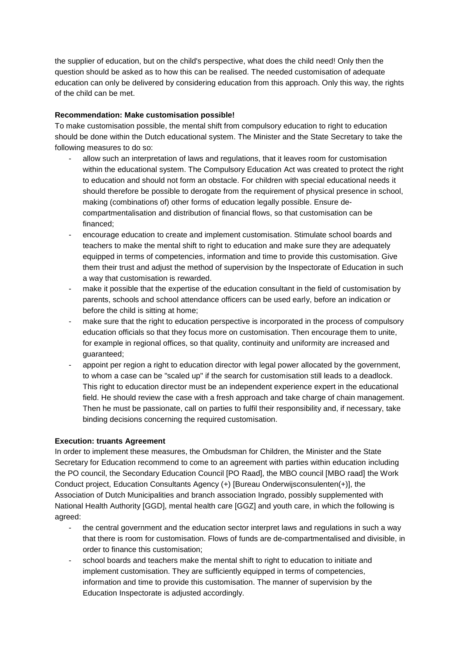the supplier of education, but on the child's perspective, what does the child need! Only then the question should be asked as to how this can be realised. The needed customisation of adequate education can only be delivered by considering education from this approach. Only this way, the rights of the child can be met.

#### **Recommendation: Make customisation possible!**

To make customisation possible, the mental shift from compulsory education to right to education should be done within the Dutch educational system. The Minister and the State Secretary to take the following measures to do so:

- allow such an interpretation of laws and regulations, that it leaves room for customisation within the educational system. The Compulsory Education Act was created to protect the right to education and should not form an obstacle. For children with special educational needs it should therefore be possible to derogate from the requirement of physical presence in school, making (combinations of) other forms of education legally possible. Ensure decompartmentalisation and distribution of financial flows, so that customisation can be financed;
- encourage education to create and implement customisation. Stimulate school boards and teachers to make the mental shift to right to education and make sure they are adequately equipped in terms of competencies, information and time to provide this customisation. Give them their trust and adjust the method of supervision by the Inspectorate of Education in such a way that customisation is rewarded.
- make it possible that the expertise of the education consultant in the field of customisation by parents, schools and school attendance officers can be used early, before an indication or before the child is sitting at home;
- make sure that the right to education perspective is incorporated in the process of compulsory education officials so that they focus more on customisation. Then encourage them to unite, for example in regional offices, so that quality, continuity and uniformity are increased and guaranteed;
- appoint per region a right to education director with legal power allocated by the government, to whom a case can be "scaled up" if the search for customisation still leads to a deadlock. This right to education director must be an independent experience expert in the educational field. He should review the case with a fresh approach and take charge of chain management. Then he must be passionate, call on parties to fulfil their responsibility and, if necessary, take binding decisions concerning the required customisation.

### **Execution: truants Agreement**

In order to implement these measures, the Ombudsman for Children, the Minister and the State Secretary for Education recommend to come to an agreement with parties within education including the PO council, the Secondary Education Council [PO Raad], the MBO council [MBO raad] the Work Conduct project, Education Consultants Agency (+) [Bureau Onderwijsconsulenten(+)], the Association of Dutch Municipalities and branch association Ingrado, possibly supplemented with National Health Authority [GGD], mental health care [GGZ] and youth care, in which the following is agreed:

- the central government and the education sector interpret laws and regulations in such a way that there is room for customisation. Flows of funds are de-compartmentalised and divisible, in order to finance this customisation;
- school boards and teachers make the mental shift to right to education to initiate and implement customisation. They are sufficiently equipped in terms of competencies, information and time to provide this customisation. The manner of supervision by the Education Inspectorate is adjusted accordingly.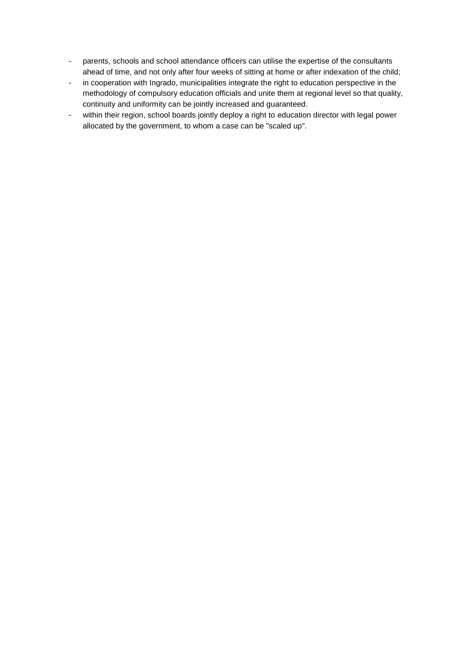- parents, schools and school attendance officers can utilise the expertise of the consultants ahead of time, and not only after four weeks of sitting at home or after indexation of the child;
- in cooperation with Ingrado, municipalities integrate the right to education perspective in the methodology of compulsory education officials and unite them at regional level so that quality, continuity and uniformity can be jointly increased and guaranteed.
- within their region, school boards jointly deploy a right to education director with legal power allocated by the government, to whom a case can be "scaled up".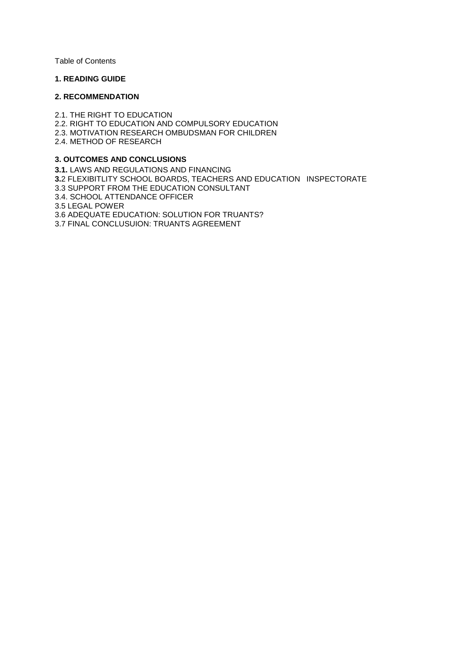Table of Contents

#### **1. READING GUIDE**

#### **2. RECOMMENDATION**

2.1. THE RIGHT TO EDUCATION 2.2. RIGHT TO EDUCATION AND COMPULSORY EDUCATION 2.3. MOTIVATION RESEARCH OMBUDSMAN FOR CHILDREN 2.4. METHOD OF RESEARCH

#### **3. OUTCOMES AND CONCLUSIONS**

**3.1.** LAWS AND REGULATIONS AND FINANCING **3.**2 FLEXIBITLITY SCHOOL BOARDS, TEACHERS AND EDUCATION INSPECTORATE 3.3 SUPPORT FROM THE EDUCATION CONSULTANT 3.4. SCHOOL ATTENDANCE OFFICER 3.5 LEGAL POWER 3.6 ADEQUATE EDUCATION: SOLUTION FOR TRUANTS? 3.7 FINAL CONCLUSUION: TRUANTS AGREEMENT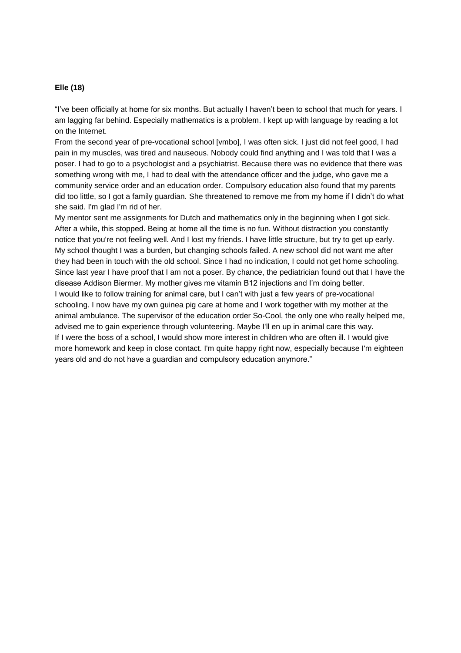#### **Elle (18)**

"I've been officially at home for six months. But actually I haven't been to school that much for years. I am lagging far behind. Especially mathematics is a problem. I kept up with language by reading a lot on the Internet.

From the second year of pre-vocational school [vmbo], I was often sick. I just did not feel good, I had pain in my muscles, was tired and nauseous. Nobody could find anything and I was told that I was a poser. I had to go to a psychologist and a psychiatrist. Because there was no evidence that there was something wrong with me, I had to deal with the attendance officer and the judge, who gave me a community service order and an education order. Compulsory education also found that my parents did too little, so I got a family guardian. She threatened to remove me from my home if I didn't do what she said. I'm glad I'm rid of her.

My mentor sent me assignments for Dutch and mathematics only in the beginning when I got sick. After a while, this stopped. Being at home all the time is no fun. Without distraction you constantly notice that you're not feeling well. And I lost my friends. I have little structure, but try to get up early. My school thought I was a burden, but changing schools failed. A new school did not want me after they had been in touch with the old school. Since I had no indication, I could not get home schooling. Since last year I have proof that I am not a poser. By chance, the pediatrician found out that I have the disease Addison Biermer. My mother gives me vitamin B12 injections and I'm doing better. I would like to follow training for animal care, but I can't with just a few years of pre-vocational schooling. I now have my own guinea pig care at home and I work together with my mother at the animal ambulance. The supervisor of the education order So-Cool, the only one who really helped me, advised me to gain experience through volunteering. Maybe I'll en up in animal care this way. If I were the boss of a school, I would show more interest in children who are often ill. I would give more homework and keep in close contact. I'm quite happy right now, especially because I'm eighteen years old and do not have a guardian and compulsory education anymore."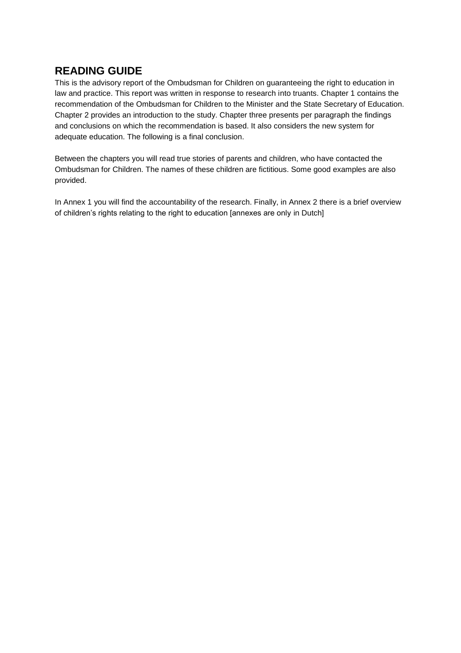## **READING GUIDE**

This is the advisory report of the Ombudsman for Children on guaranteeing the right to education in law and practice. This report was written in response to research into truants. Chapter 1 contains the recommendation of the Ombudsman for Children to the Minister and the State Secretary of Education. Chapter 2 provides an introduction to the study. Chapter three presents per paragraph the findings and conclusions on which the recommendation is based. It also considers the new system for adequate education. The following is a final conclusion.

Between the chapters you will read true stories of parents and children, who have contacted the Ombudsman for Children. The names of these children are fictitious. Some good examples are also provided.

In Annex 1 you will find the accountability of the research. Finally, in Annex 2 there is a brief overview of children's rights relating to the right to education [annexes are only in Dutch]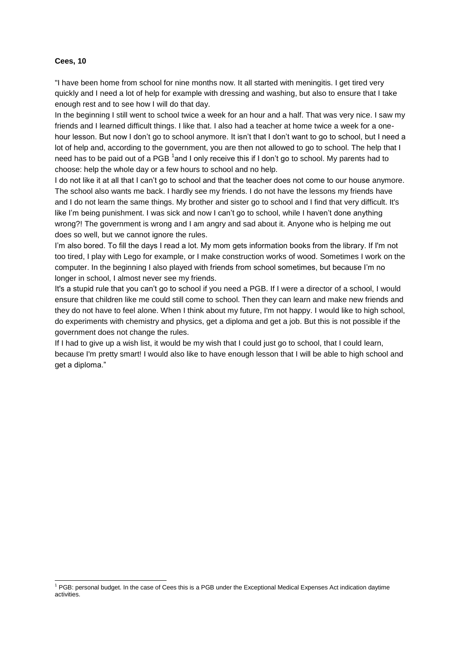#### **Cees, 10**

l

"I have been home from school for nine months now. It all started with meningitis. I get tired very quickly and I need a lot of help for example with dressing and washing, but also to ensure that I take enough rest and to see how I will do that day.

In the beginning I still went to school twice a week for an hour and a half. That was very nice. I saw my friends and I learned difficult things. I like that. I also had a teacher at home twice a week for a onehour lesson. But now I don't go to school anymore. It isn't that I don't want to go to school, but I need a lot of help and, according to the government, you are then not allowed to go to school. The help that I need has to be paid out of a PGB  $^1$ and I only receive this if I don't go to school. My parents had to choose: help the whole day or a few hours to school and no help.

I do not like it at all that I can't go to school and that the teacher does not come to our house anymore. The school also wants me back. I hardly see my friends. I do not have the lessons my friends have and I do not learn the same things. My brother and sister go to school and I find that very difficult. It's like I'm being punishment. I was sick and now I can't go to school, while I haven't done anything wrong?! The government is wrong and I am angry and sad about it. Anyone who is helping me out does so well, but we cannot ignore the rules.

I'm also bored. To fill the days I read a lot. My mom gets information books from the library. If I'm not too tired, I play with Lego for example, or I make construction works of wood. Sometimes I work on the computer. In the beginning I also played with friends from school sometimes, but because I'm no longer in school, I almost never see my friends.

It's a stupid rule that you can't go to school if you need a PGB. If I were a director of a school, I would ensure that children like me could still come to school. Then they can learn and make new friends and they do not have to feel alone. When I think about my future, I'm not happy. I would like to high school, do experiments with chemistry and physics, get a diploma and get a job. But this is not possible if the government does not change the rules.

If I had to give up a wish list, it would be my wish that I could just go to school, that I could learn, because I'm pretty smart! I would also like to have enough lesson that I will be able to high school and get a diploma."

 $1$  PGB: personal budget. In the case of Cees this is a PGB under the Exceptional Medical Expenses Act indication daytime activities.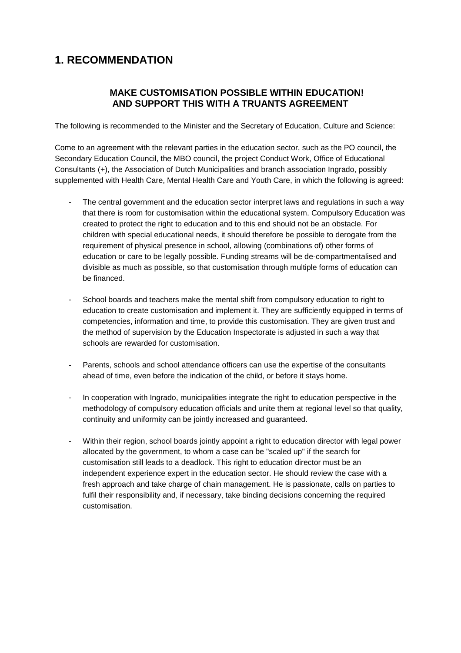## **1. RECOMMENDATION**

## **MAKE CUSTOMISATION POSSIBLE WITHIN EDUCATION! AND SUPPORT THIS WITH A TRUANTS AGREEMENT**

The following is recommended to the Minister and the Secretary of Education, Culture and Science:

Come to an agreement with the relevant parties in the education sector, such as the PO council, the Secondary Education Council, the MBO council, the project Conduct Work, Office of Educational Consultants (+), the Association of Dutch Municipalities and branch association Ingrado, possibly supplemented with Health Care, Mental Health Care and Youth Care, in which the following is agreed:

- The central government and the education sector interpret laws and regulations in such a way that there is room for customisation within the educational system. Compulsory Education was created to protect the right to education and to this end should not be an obstacle. For children with special educational needs, it should therefore be possible to derogate from the requirement of physical presence in school, allowing (combinations of) other forms of education or care to be legally possible. Funding streams will be de-compartmentalised and divisible as much as possible, so that customisation through multiple forms of education can be financed.
- School boards and teachers make the mental shift from compulsory education to right to education to create customisation and implement it. They are sufficiently equipped in terms of competencies, information and time, to provide this customisation. They are given trust and the method of supervision by the Education Inspectorate is adjusted in such a way that schools are rewarded for customisation.
- Parents, schools and school attendance officers can use the expertise of the consultants ahead of time, even before the indication of the child, or before it stays home.
- In cooperation with Ingrado, municipalities integrate the right to education perspective in the methodology of compulsory education officials and unite them at regional level so that quality, continuity and uniformity can be jointly increased and guaranteed.
- Within their region, school boards jointly appoint a right to education director with legal power allocated by the government, to whom a case can be "scaled up" if the search for customisation still leads to a deadlock. This right to education director must be an independent experience expert in the education sector. He should review the case with a fresh approach and take charge of chain management. He is passionate, calls on parties to fulfil their responsibility and, if necessary, take binding decisions concerning the required customisation.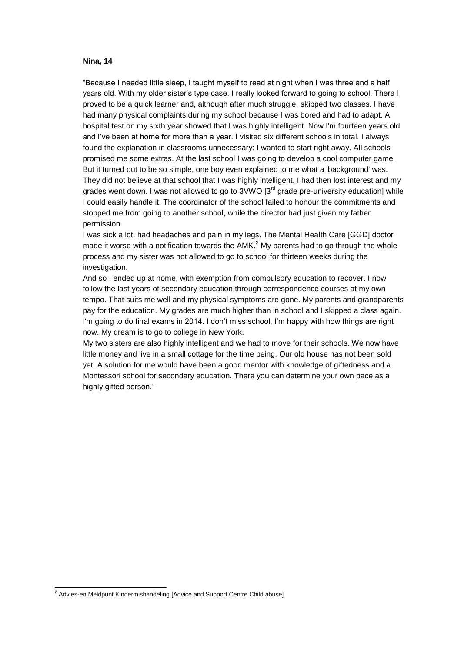#### **Nina, 14**

"Because I needed little sleep, I taught myself to read at night when I was three and a half years old. With my older sister's type case. I really looked forward to going to school. There I proved to be a quick learner and, although after much struggle, skipped two classes. I have had many physical complaints during my school because I was bored and had to adapt. A hospital test on my sixth year showed that I was highly intelligent. Now I'm fourteen years old and I've been at home for more than a year. I visited six different schools in total. I always found the explanation in classrooms unnecessary: I wanted to start right away. All schools promised me some extras. At the last school I was going to develop a cool computer game. But it turned out to be so simple, one boy even explained to me what a 'background' was. They did not believe at that school that I was highly intelligent. I had then lost interest and my grades went down. I was not allowed to go to  $3VWO$   $3<sup>rd</sup>$  grade pre-university education] while I could easily handle it. The coordinator of the school failed to honour the commitments and stopped me from going to another school, while the director had just given my father permission.

I was sick a lot, had headaches and pain in my legs. The Mental Health Care [GGD] doctor made it worse with a notification towards the AMK.<sup>2</sup> My parents had to go through the whole process and my sister was not allowed to go to school for thirteen weeks during the investigation.

And so I ended up at home, with exemption from compulsory education to recover. I now follow the last years of secondary education through correspondence courses at my own tempo. That suits me well and my physical symptoms are gone. My parents and grandparents pay for the education. My grades are much higher than in school and I skipped a class again. I'm going to do final exams in 2014. I don't miss school, I'm happy with how things are right now. My dream is to go to college in New York.

My two sisters are also highly intelligent and we had to move for their schools. We now have little money and live in a small cottage for the time being. Our old house has not been sold yet. A solution for me would have been a good mentor with knowledge of giftedness and a Montessori school for secondary education. There you can determine your own pace as a highly gifted person."

 $\overline{a}$ 

 $2$  Advies-en Meldpunt Kindermishandeling [Advice and Support Centre Child abuse]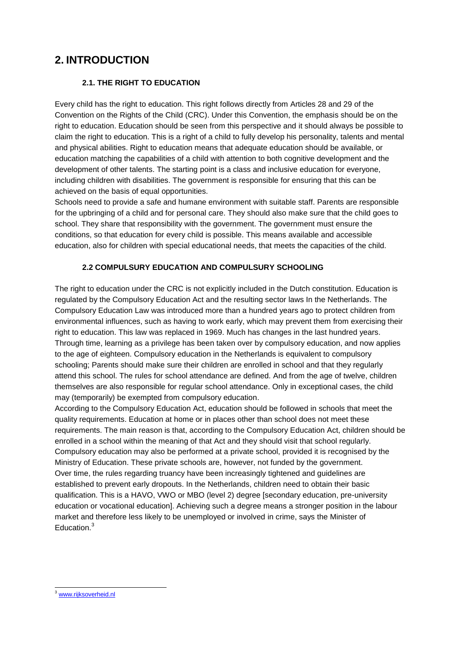## **2. INTRODUCTION**

### **2.1. THE RIGHT TO EDUCATION**

Every child has the right to education. This right follows directly from Articles 28 and 29 of the Convention on the Rights of the Child (CRC). Under this Convention, the emphasis should be on the right to education. Education should be seen from this perspective and it should always be possible to claim the right to education. This is a right of a child to fully develop his personality, talents and mental and physical abilities. Right to education means that adequate education should be available, or education matching the capabilities of a child with attention to both cognitive development and the development of other talents. The starting point is a class and inclusive education for everyone, including children with disabilities. The government is responsible for ensuring that this can be achieved on the basis of equal opportunities.

Schools need to provide a safe and humane environment with suitable staff. Parents are responsible for the upbringing of a child and for personal care. They should also make sure that the child goes to school. They share that responsibility with the government. The government must ensure the conditions, so that education for every child is possible. This means available and accessible education, also for children with special educational needs, that meets the capacities of the child.

### **2.2 COMPULSURY EDUCATION AND COMPULSURY SCHOOLING**

The right to education under the CRC is not explicitly included in the Dutch constitution. Education is regulated by the Compulsory Education Act and the resulting sector laws In the Netherlands. The Compulsory Education Law was introduced more than a hundred years ago to protect children from environmental influences, such as having to work early, which may prevent them from exercising their right to education. This law was replaced in 1969. Much has changes in the last hundred years. Through time, learning as a privilege has been taken over by compulsory education, and now applies to the age of eighteen. Compulsory education in the Netherlands is equivalent to compulsory schooling; Parents should make sure their children are enrolled in school and that they regularly attend this school. The rules for school attendance are defined. And from the age of twelve, children themselves are also responsible for regular school attendance. Only in exceptional cases, the child may (temporarily) be exempted from compulsory education.

According to the Compulsory Education Act, education should be followed in schools that meet the quality requirements. Education at home or in places other than school does not meet these requirements. The main reason is that, according to the Compulsory Education Act, children should be enrolled in a school within the meaning of that Act and they should visit that school regularly. Compulsory education may also be performed at a private school, provided it is recognised by the Ministry of Education. These private schools are, however, not funded by the government. Over time, the rules regarding truancy have been increasingly tightened and guidelines are established to prevent early dropouts. In the Netherlands, children need to obtain their basic qualification. This is a HAVO, VWO or MBO (level 2) degree [secondary education, pre-university education or vocational education]. Achieving such a degree means a stronger position in the labour market and therefore less likely to be unemployed or involved in crime, says the Minister of Education<sup>3</sup>

 $\overline{a}$ <sup>3</sup> [www.rijksoverheid.nl](http://www.rijksoverheid.nl/)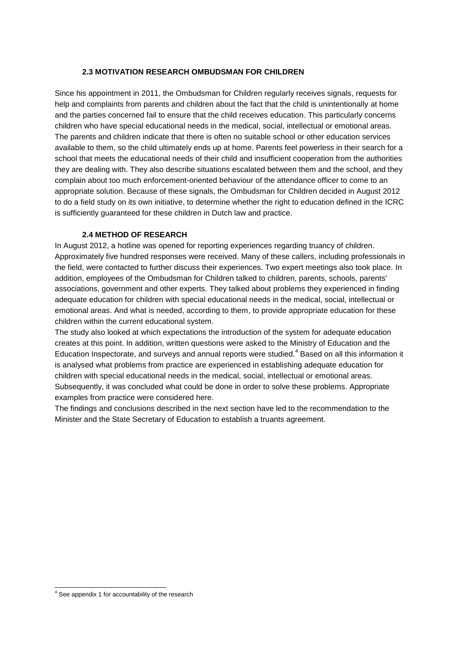#### **2.3 MOTIVATION RESEARCH OMBUDSMAN FOR CHILDREN**

Since his appointment in 2011, the Ombudsman for Children regularly receives signals, requests for help and complaints from parents and children about the fact that the child is unintentionally at home and the parties concerned fail to ensure that the child receives education. This particularly concerns children who have special educational needs in the medical, social, intellectual or emotional areas. The parents and children indicate that there is often no suitable school or other education services available to them, so the child ultimately ends up at home. Parents feel powerless in their search for a school that meets the educational needs of their child and insufficient cooperation from the authorities they are dealing with. They also describe situations escalated between them and the school, and they complain about too much enforcement-oriented behaviour of the attendance officer to come to an appropriate solution. Because of these signals, the Ombudsman for Children decided in August 2012 to do a field study on its own initiative, to determine whether the right to education defined in the ICRC is sufficiently guaranteed for these children in Dutch law and practice.

#### **2.4 METHOD OF RESEARCH**

In August 2012, a hotline was opened for reporting experiences regarding truancy of children. Approximately five hundred responses were received. Many of these callers, including professionals in the field, were contacted to further discuss their experiences. Two expert meetings also took place. In addition, employees of the Ombudsman for Children talked to children, parents, schools, parents' associations, government and other experts. They talked about problems they experienced in finding adequate education for children with special educational needs in the medical, social, intellectual or emotional areas. And what is needed, according to them, to provide appropriate education for these children within the current educational system.

The study also looked at which expectations the introduction of the system for adequate education creates at this point. In addition, written questions were asked to the Ministry of Education and the Education Inspectorate, and surveys and annual reports were studied.<sup>4</sup> Based on all this information it is analysed what problems from practice are experienced in establishing adequate education for children with special educational needs in the medical, social, intellectual or emotional areas. Subsequently, it was concluded what could be done in order to solve these problems. Appropriate examples from practice were considered here.

The findings and conclusions described in the next section have led to the recommendation to the Minister and the State Secretary of Education to establish a truants agreement.

 $\overline{a}$  $4$  See appendix 1 for accountability of the research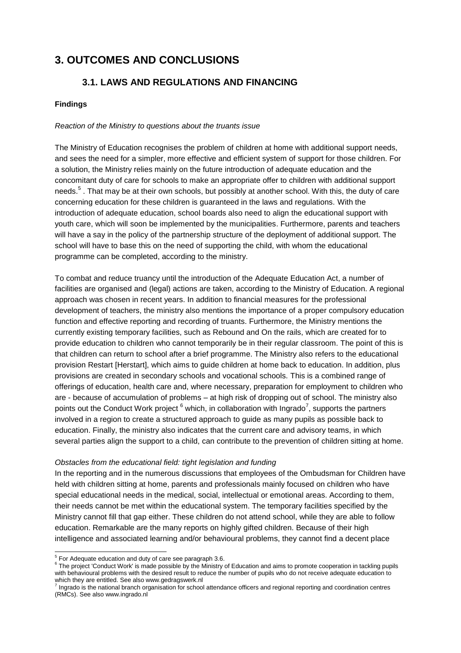## **3. OUTCOMES AND CONCLUSIONS**

## **3.1. LAWS AND REGULATIONS AND FINANCING**

#### **Findings**

#### *Reaction of the Ministry to questions about the truants issue*

The Ministry of Education recognises the problem of children at home with additional support needs, and sees the need for a simpler, more effective and efficient system of support for those children. For a solution, the Ministry relies mainly on the future introduction of adequate education and the concomitant duty of care for schools to make an appropriate offer to children with additional support needs.<sup>5</sup>. That may be at their own schools, but possibly at another school. With this, the duty of care concerning education for these children is guaranteed in the laws and regulations. With the introduction of adequate education, school boards also need to align the educational support with youth care, which will soon be implemented by the municipalities. Furthermore, parents and teachers will have a say in the policy of the partnership structure of the deployment of additional support. The school will have to base this on the need of supporting the child, with whom the educational programme can be completed, according to the ministry.

To combat and reduce truancy until the introduction of the Adequate Education Act, a number of facilities are organised and (legal) actions are taken, according to the Ministry of Education. A regional approach was chosen in recent years. In addition to financial measures for the professional development of teachers, the ministry also mentions the importance of a proper compulsory education function and effective reporting and recording of truants. Furthermore, the Ministry mentions the currently existing temporary facilities, such as Rebound and On the rails, which are created for to provide education to children who cannot temporarily be in their regular classroom. The point of this is that children can return to school after a brief programme. The Ministry also refers to the educational provision Restart [Herstart], which aims to guide children at home back to education. In addition, plus provisions are created in secondary schools and vocational schools. This is a combined range of offerings of education, health care and, where necessary, preparation for employment to children who are - because of accumulation of problems – at high risk of dropping out of school. The ministry also points out the Conduct Work project  $^6$  which, in collaboration with Ingrado<sup>7</sup>, supports the partners involved in a region to create a structured approach to guide as many pupils as possible back to education. Finally, the ministry also indicates that the current care and advisory teams, in which several parties align the support to a child, can contribute to the prevention of children sitting at home.

#### *Obstacles from the educational field: tight legislation and funding*

In the reporting and in the numerous discussions that employees of the Ombudsman for Children have held with children sitting at home, parents and professionals mainly focused on children who have special educational needs in the medical, social, intellectual or emotional areas. According to them, their needs cannot be met within the educational system. The temporary facilities specified by the Ministry cannot fill that gap either. These children do not attend school, while they are able to follow education. Remarkable are the many reports on highly gifted children. Because of their high intelligence and associated learning and/or behavioural problems, they cannot find a decent place

 5 For Adequate education and duty of care see paragraph 3.6.

<sup>&</sup>lt;sup>6</sup> The project 'Conduct Work' is made possible by the Ministry of Education and aims to promote cooperation in tackling pupils with behavioural problems with the desired result to reduce the number of pupils who do not receive adequate education to which they are entitled. See also www.gedragswerk.nl

Ingrado is the national branch organisation for school attendance officers and regional reporting and coordination centres (RMCs). See also www.ingrado.nl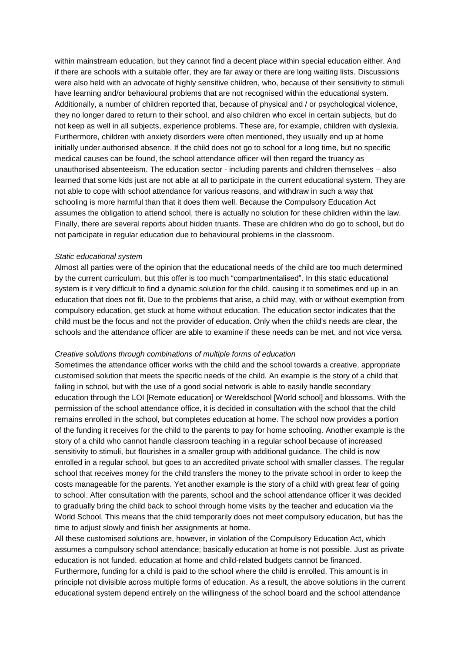within mainstream education, but they cannot find a decent place within special education either. And if there are schools with a suitable offer, they are far away or there are long waiting lists. Discussions were also held with an advocate of highly sensitive children, who, because of their sensitivity to stimuli have learning and/or behavioural problems that are not recognised within the educational system. Additionally, a number of children reported that, because of physical and / or psychological violence, they no longer dared to return to their school, and also children who excel in certain subjects, but do not keep as well in all subjects, experience problems. These are, for example, children with dyslexia. Furthermore, children with anxiety disorders were often mentioned, they usually end up at home initially under authorised absence. If the child does not go to school for a long time, but no specific medical causes can be found, the school attendance officer will then regard the truancy as unauthorised absenteeism. The education sector - including parents and children themselves – also learned that some kids just are not able at all to participate in the current educational system. They are not able to cope with school attendance for various reasons, and withdraw in such a way that schooling is more harmful than that it does them well. Because the Compulsory Education Act assumes the obligation to attend school, there is actually no solution for these children within the law. Finally, there are several reports about hidden truants. These are children who do go to school, but do not participate in regular education due to behavioural problems in the classroom.

#### *Static educational system*

Almost all parties were of the opinion that the educational needs of the child are too much determined by the current curriculum, but this offer is too much "compartmentalised". In this static educational system is it very difficult to find a dynamic solution for the child, causing it to sometimes end up in an education that does not fit. Due to the problems that arise, a child may, with or without exemption from compulsory education, get stuck at home without education. The education sector indicates that the child must be the focus and not the provider of education. Only when the child's needs are clear, the schools and the attendance officer are able to examine if these needs can be met, and not vice versa.

#### *Creative solutions through combinations of multiple forms of education*

Sometimes the attendance officer works with the child and the school towards a creative, appropriate customised solution that meets the specific needs of the child. An example is the story of a child that failing in school, but with the use of a good social network is able to easily handle secondary education through the LOI [Remote education] or Wereldschool [World school] and blossoms. With the permission of the school attendance office, it is decided in consultation with the school that the child remains enrolled in the school, but completes education at home. The school now provides a portion of the funding it receives for the child to the parents to pay for home schooling. Another example is the story of a child who cannot handle classroom teaching in a regular school because of increased sensitivity to stimuli, but flourishes in a smaller group with additional guidance. The child is now enrolled in a regular school, but goes to an accredited private school with smaller classes. The regular school that receives money for the child transfers the money to the private school in order to keep the costs manageable for the parents. Yet another example is the story of a child with great fear of going to school. After consultation with the parents, school and the school attendance officer it was decided to gradually bring the child back to school through home visits by the teacher and education via the World School. This means that the child temporarily does not meet compulsory education, but has the time to adjust slowly and finish her assignments at home.

All these customised solutions are, however, in violation of the Compulsory Education Act, which assumes a compulsory school attendance; basically education at home is not possible. Just as private education is not funded, education at home and child-related budgets cannot be financed. Furthermore, funding for a child is paid to the school where the child is enrolled. This amount is in principle not divisible across multiple forms of education. As a result, the above solutions in the current educational system depend entirely on the willingness of the school board and the school attendance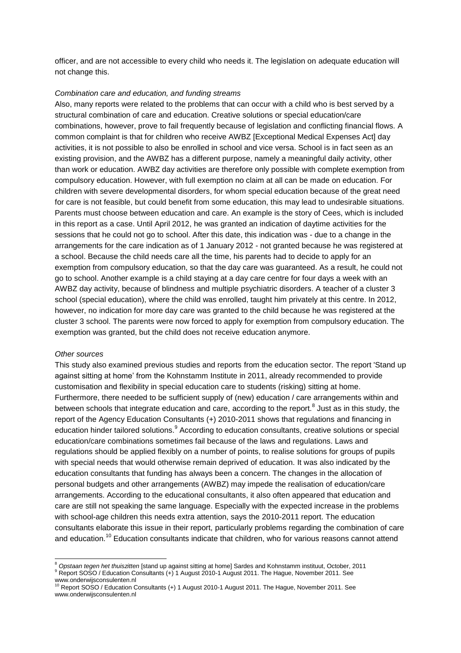officer, and are not accessible to every child who needs it. The legislation on adequate education will not change this.

#### *Combination care and education, and funding streams*

Also, many reports were related to the problems that can occur with a child who is best served by a structural combination of care and education. Creative solutions or special education/care combinations, however, prove to fail frequently because of legislation and conflicting financial flows. A common complaint is that for children who receive AWBZ [Exceptional Medical Expenses Act] day activities, it is not possible to also be enrolled in school and vice versa. School is in fact seen as an existing provision, and the AWBZ has a different purpose, namely a meaningful daily activity, other than work or education. AWBZ day activities are therefore only possible with complete exemption from compulsory education. However, with full exemption no claim at all can be made on education. For children with severe developmental disorders, for whom special education because of the great need for care is not feasible, but could benefit from some education, this may lead to undesirable situations. Parents must choose between education and care. An example is the story of Cees, which is included in this report as a case. Until April 2012, he was granted an indication of daytime activities for the sessions that he could not go to school. After this date, this indication was - due to a change in the arrangements for the care indication as of 1 January 2012 - not granted because he was registered at a school. Because the child needs care all the time, his parents had to decide to apply for an exemption from compulsory education, so that the day care was guaranteed. As a result, he could not go to school. Another example is a child staying at a day care centre for four days a week with an AWBZ day activity, because of blindness and multiple psychiatric disorders. A teacher of a cluster 3 school (special education), where the child was enrolled, taught him privately at this centre. In 2012, however, no indication for more day care was granted to the child because he was registered at the cluster 3 school. The parents were now forced to apply for exemption from compulsory education. The exemption was granted, but the child does not receive education anymore.

#### *Other sources*

This study also examined previous studies and reports from the education sector. The report 'Stand up against sitting at home' from the Kohnstamm Institute in 2011, already recommended to provide customisation and flexibility in special education care to students (risking) sitting at home. Furthermore, there needed to be sufficient supply of (new) education / care arrangements within and between schools that integrate education and care, according to the report.<sup>8</sup> Just as in this study, the report of the Agency Education Consultants (+) 2010-2011 shows that regulations and financing in education hinder tailored solutions. <sup>9</sup> According to education consultants, creative solutions or special education/care combinations sometimes fail because of the laws and regulations. Laws and regulations should be applied flexibly on a number of points, to realise solutions for groups of pupils with special needs that would otherwise remain deprived of education. It was also indicated by the education consultants that funding has always been a concern. The changes in the allocation of personal budgets and other arrangements (AWBZ) may impede the realisation of education/care arrangements. According to the educational consultants, it also often appeared that education and care are still not speaking the same language. Especially with the expected increase in the problems with school-age children this needs extra attention, says the 2010-2011 report. The education consultants elaborate this issue in their report, particularly problems regarding the combination of care and education.<sup>10</sup> Education consultants indicate that children, who for various reasons cannot attend

 $\overline{a}$ 

<sup>8</sup> *Opstaan tegen het thuiszitten* [stand up against sitting at home] Sardes and Kohnstamm instituut, October, 2011 9 Report SOSO / Education Consultants (+) 1 August 2010-1 August 2011. The Hague, November 2011. See www.onderwijsconsulenten.nl

<sup>10</sup> Report SOSO / Education Consultants (+) 1 August 2010-1 August 2011. The Hague, November 2011. See www.onderwijsconsulenten.nl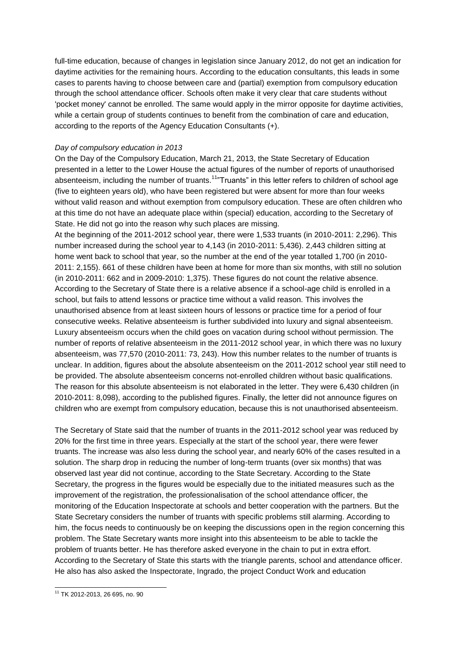full-time education, because of changes in legislation since January 2012, do not get an indication for daytime activities for the remaining hours. According to the education consultants, this leads in some cases to parents having to choose between care and (partial) exemption from compulsory education through the school attendance officer. Schools often make it very clear that care students without 'pocket money' cannot be enrolled. The same would apply in the mirror opposite for daytime activities, while a certain group of students continues to benefit from the combination of care and education, according to the reports of the Agency Education Consultants (+).

#### *Day of compulsory education in 2013*

On the Day of the Compulsory Education, March 21, 2013, the State Secretary of Education presented in a letter to the Lower House the actual figures of the number of reports of unauthorised absenteeism, including the number of truants.<sup>11</sup> Truants" in this letter refers to children of school age (five to eighteen years old), who have been registered but were absent for more than four weeks without valid reason and without exemption from compulsory education. These are often children who at this time do not have an adequate place within (special) education, according to the Secretary of State. He did not go into the reason why such places are missing.

At the beginning of the 2011-2012 school year, there were 1,533 truants (in 2010-2011: 2,296). This number increased during the school year to 4,143 (in 2010-2011: 5,436). 2,443 children sitting at home went back to school that year, so the number at the end of the year totalled 1,700 (in 2010- 2011: 2,155). 661 of these children have been at home for more than six months, with still no solution (in 2010-2011: 662 and in 2009-2010: 1,375). These figures do not count the relative absence. According to the Secretary of State there is a relative absence if a school-age child is enrolled in a school, but fails to attend lessons or practice time without a valid reason. This involves the unauthorised absence from at least sixteen hours of lessons or practice time for a period of four consecutive weeks. Relative absenteeism is further subdivided into luxury and signal absenteeism. Luxury absenteeism occurs when the child goes on vacation during school without permission. The number of reports of relative absenteeism in the 2011-2012 school year, in which there was no luxury absenteeism, was 77,570 (2010-2011: 73, 243). How this number relates to the number of truants is unclear. In addition, figures about the absolute absenteeism on the 2011-2012 school year still need to be provided. The absolute absenteeism concerns not-enrolled children without basic qualifications. The reason for this absolute absenteeism is not elaborated in the letter. They were 6,430 children (in 2010-2011: 8,098), according to the published figures. Finally, the letter did not announce figures on children who are exempt from compulsory education, because this is not unauthorised absenteeism.

The Secretary of State said that the number of truants in the 2011-2012 school year was reduced by 20% for the first time in three years. Especially at the start of the school year, there were fewer truants. The increase was also less during the school year, and nearly 60% of the cases resulted in a solution. The sharp drop in reducing the number of long-term truants (over six months) that was observed last year did not continue, according to the State Secretary. According to the State Secretary, the progress in the figures would be especially due to the initiated measures such as the improvement of the registration, the professionalisation of the school attendance officer, the monitoring of the Education Inspectorate at schools and better cooperation with the partners. But the State Secretary considers the number of truants with specific problems still alarming. According to him, the focus needs to continuously be on keeping the discussions open in the region concerning this problem. The State Secretary wants more insight into this absenteeism to be able to tackle the problem of truants better. He has therefore asked everyone in the chain to put in extra effort. According to the Secretary of State this starts with the triangle parents, school and attendance officer. He also has also asked the Inspectorate, Ingrado, the project Conduct Work and education

 $\overline{a}$ <sup>11</sup> TK 2012-2013, 26 695, no. 90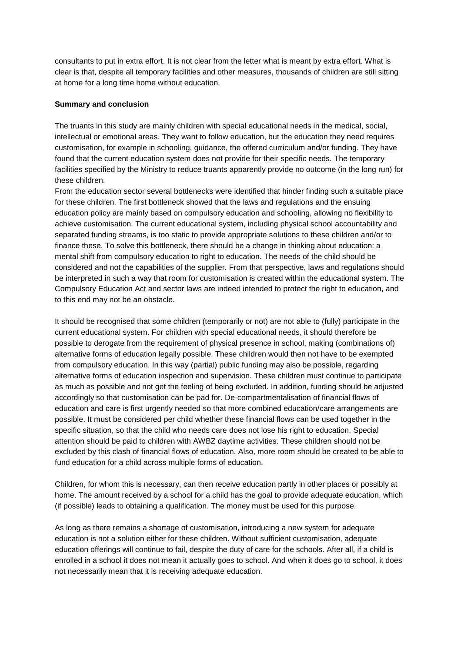consultants to put in extra effort. It is not clear from the letter what is meant by extra effort. What is clear is that, despite all temporary facilities and other measures, thousands of children are still sitting at home for a long time home without education.

#### **Summary and conclusion**

The truants in this study are mainly children with special educational needs in the medical, social, intellectual or emotional areas. They want to follow education, but the education they need requires customisation, for example in schooling, guidance, the offered curriculum and/or funding. They have found that the current education system does not provide for their specific needs. The temporary facilities specified by the Ministry to reduce truants apparently provide no outcome (in the long run) for these children.

From the education sector several bottlenecks were identified that hinder finding such a suitable place for these children. The first bottleneck showed that the laws and regulations and the ensuing education policy are mainly based on compulsory education and schooling, allowing no flexibility to achieve customisation. The current educational system, including physical school accountability and separated funding streams, is too static to provide appropriate solutions to these children and/or to finance these. To solve this bottleneck, there should be a change in thinking about education: a mental shift from compulsory education to right to education. The needs of the child should be considered and not the capabilities of the supplier. From that perspective, laws and regulations should be interpreted in such a way that room for customisation is created within the educational system. The Compulsory Education Act and sector laws are indeed intended to protect the right to education, and to this end may not be an obstacle.

It should be recognised that some children (temporarily or not) are not able to (fully) participate in the current educational system. For children with special educational needs, it should therefore be possible to derogate from the requirement of physical presence in school, making (combinations of) alternative forms of education legally possible. These children would then not have to be exempted from compulsory education. In this way (partial) public funding may also be possible, regarding alternative forms of education inspection and supervision. These children must continue to participate as much as possible and not get the feeling of being excluded. In addition, funding should be adjusted accordingly so that customisation can be pad for. De-compartmentalisation of financial flows of education and care is first urgently needed so that more combined education/care arrangements are possible. It must be considered per child whether these financial flows can be used together in the specific situation, so that the child who needs care does not lose his right to education. Special attention should be paid to children with AWBZ daytime activities. These children should not be excluded by this clash of financial flows of education. Also, more room should be created to be able to fund education for a child across multiple forms of education.

Children, for whom this is necessary, can then receive education partly in other places or possibly at home. The amount received by a school for a child has the goal to provide adequate education, which (if possible) leads to obtaining a qualification. The money must be used for this purpose.

As long as there remains a shortage of customisation, introducing a new system for adequate education is not a solution either for these children. Without sufficient customisation, adequate education offerings will continue to fail, despite the duty of care for the schools. After all, if a child is enrolled in a school it does not mean it actually goes to school. And when it does go to school, it does not necessarily mean that it is receiving adequate education.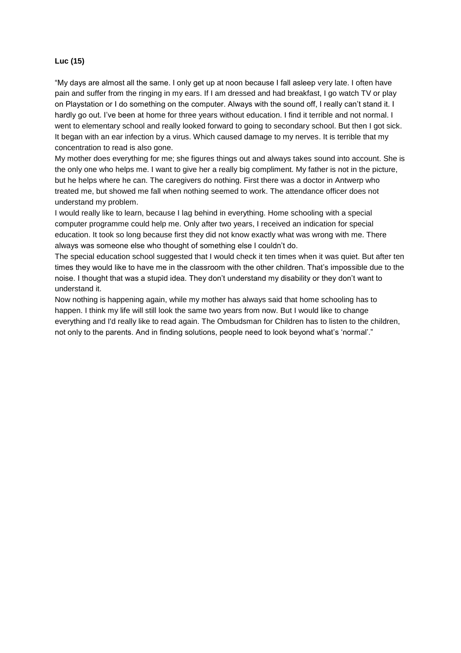#### **Luc (15)**

"My days are almost all the same. I only get up at noon because I fall asleep very late. I often have pain and suffer from the ringing in my ears. If I am dressed and had breakfast, I go watch TV or play on Playstation or I do something on the computer. Always with the sound off, I really can't stand it. I hardly go out. I've been at home for three years without education. I find it terrible and not normal. I went to elementary school and really looked forward to going to secondary school. But then I got sick. It began with an ear infection by a virus. Which caused damage to my nerves. It is terrible that my concentration to read is also gone.

My mother does everything for me; she figures things out and always takes sound into account. She is the only one who helps me. I want to give her a really big compliment. My father is not in the picture, but he helps where he can. The caregivers do nothing. First there was a doctor in Antwerp who treated me, but showed me fall when nothing seemed to work. The attendance officer does not understand my problem.

I would really like to learn, because I lag behind in everything. Home schooling with a special computer programme could help me. Only after two years, I received an indication for special education. It took so long because first they did not know exactly what was wrong with me. There always was someone else who thought of something else I couldn't do.

The special education school suggested that I would check it ten times when it was quiet. But after ten times they would like to have me in the classroom with the other children. That's impossible due to the noise. I thought that was a stupid idea. They don't understand my disability or they don't want to understand it.

Now nothing is happening again, while my mother has always said that home schooling has to happen. I think my life will still look the same two years from now. But I would like to change everything and I'd really like to read again. The Ombudsman for Children has to listen to the children, not only to the parents. And in finding solutions, people need to look beyond what's 'normal'."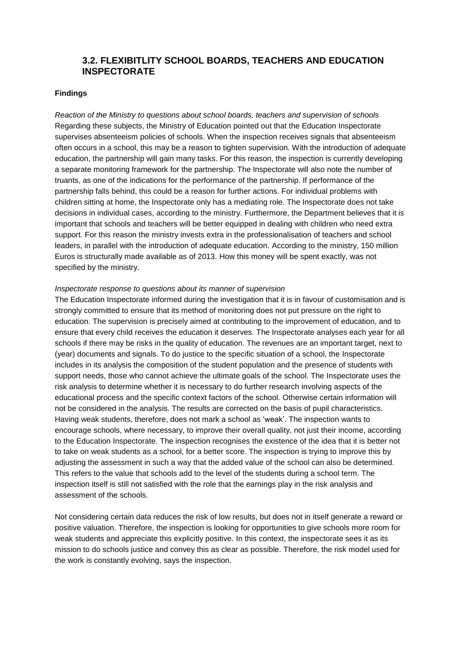## **3.2. FLEXIBITLITY SCHOOL BOARDS, TEACHERS AND EDUCATION INSPECTORATE**

#### **Findings**

*Reaction of the Ministry to questions about school boards, teachers and supervision of schools* Regarding these subjects, the Ministry of Education pointed out that the Education Inspectorate supervises absenteeism policies of schools. When the inspection receives signals that absenteeism often occurs in a school, this may be a reason to tighten supervision. With the introduction of adequate education, the partnership will gain many tasks. For this reason, the inspection is currently developing a separate monitoring framework for the partnership. The Inspectorate will also note the number of truants, as one of the indications for the performance of the partnership. If performance of the partnership falls behind, this could be a reason for further actions. For individual problems with children sitting at home, the Inspectorate only has a mediating role. The Inspectorate does not take decisions in individual cases, according to the ministry. Furthermore, the Department believes that it is important that schools and teachers will be better equipped in dealing with children who need extra support. For this reason the ministry invests extra in the professionalisation of teachers and school leaders, in parallel with the introduction of adequate education. According to the ministry, 150 million Euros is structurally made available as of 2013. How this money will be spent exactly, was not specified by the ministry.

#### *Inspectorate response to questions about its manner of supervision*

The Education Inspectorate informed during the investigation that it is in favour of customisation and is strongly committed to ensure that its method of monitoring does not put pressure on the right to education. The supervision is precisely aimed at contributing to the improvement of education, and to ensure that every child receives the education it deserves. The Inspectorate analyses each year for all schools if there may be risks in the quality of education. The revenues are an important target, next to (year) documents and signals. To do justice to the specific situation of a school, the Inspectorate includes in its analysis the composition of the student population and the presence of students with support needs, those who cannot achieve the ultimate goals of the school. The Inspectorate uses the risk analysis to determine whether it is necessary to do further research involving aspects of the educational process and the specific context factors of the school. Otherwise certain information will not be considered in the analysis. The results are corrected on the basis of pupil characteristics. Having weak students, therefore, does not mark a school as 'weak'. The inspection wants to encourage schools, where necessary, to improve their overall quality, not just their income, according to the Education Inspectorate. The inspection recognises the existence of the idea that it is better not to take on weak students as a school, for a better score. The inspection is trying to improve this by adjusting the assessment in such a way that the added value of the school can also be determined. This refers to the value that schools add to the level of the students during a school term. The inspection itself is still not satisfied with the role that the earnings play in the risk analysis and assessment of the schools.

Not considering certain data reduces the risk of low results, but does not in itself generate a reward or positive valuation. Therefore, the inspection is looking for opportunities to give schools more room for weak students and appreciate this explicitly positive. In this context, the inspectorate sees it as its mission to do schools justice and convey this as clear as possible. Therefore, the risk model used for the work is constantly evolving, says the inspection.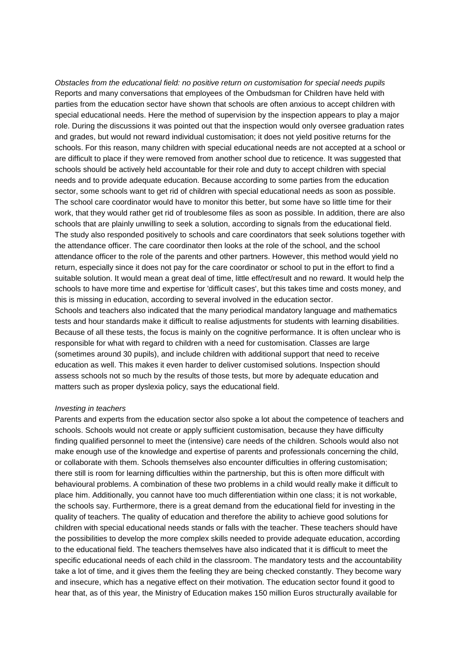*Obstacles from the educational field: no positive return on customisation for special needs pupils* Reports and many conversations that employees of the Ombudsman for Children have held with parties from the education sector have shown that schools are often anxious to accept children with special educational needs. Here the method of supervision by the inspection appears to play a major role. During the discussions it was pointed out that the inspection would only oversee graduation rates and grades, but would not reward individual customisation; it does not yield positive returns for the schools. For this reason, many children with special educational needs are not accepted at a school or are difficult to place if they were removed from another school due to reticence. It was suggested that schools should be actively held accountable for their role and duty to accept children with special needs and to provide adequate education. Because according to some parties from the education sector, some schools want to get rid of children with special educational needs as soon as possible. The school care coordinator would have to monitor this better, but some have so little time for their work, that they would rather get rid of troublesome files as soon as possible. In addition, there are also schools that are plainly unwilling to seek a solution, according to signals from the educational field. The study also responded positively to schools and care coordinators that seek solutions together with the attendance officer. The care coordinator then looks at the role of the school, and the school attendance officer to the role of the parents and other partners. However, this method would yield no return, especially since it does not pay for the care coordinator or school to put in the effort to find a suitable solution. It would mean a great deal of time, little effect/result and no reward. It would help the schools to have more time and expertise for 'difficult cases', but this takes time and costs money, and this is missing in education, according to several involved in the education sector. Schools and teachers also indicated that the many periodical mandatory language and mathematics

tests and hour standards make it difficult to realise adjustments for students with learning disabilities. Because of all these tests, the focus is mainly on the cognitive performance. It is often unclear who is responsible for what with regard to children with a need for customisation. Classes are large (sometimes around 30 pupils), and include children with additional support that need to receive education as well. This makes it even harder to deliver customised solutions. Inspection should assess schools not so much by the results of those tests, but more by adequate education and matters such as proper dyslexia policy, says the educational field.

#### *Investing in teachers*

Parents and experts from the education sector also spoke a lot about the competence of teachers and schools. Schools would not create or apply sufficient customisation, because they have difficulty finding qualified personnel to meet the (intensive) care needs of the children. Schools would also not make enough use of the knowledge and expertise of parents and professionals concerning the child, or collaborate with them. Schools themselves also encounter difficulties in offering customisation; there still is room for learning difficulties within the partnership, but this is often more difficult with behavioural problems. A combination of these two problems in a child would really make it difficult to place him. Additionally, you cannot have too much differentiation within one class; it is not workable, the schools say. Furthermore, there is a great demand from the educational field for investing in the quality of teachers. The quality of education and therefore the ability to achieve good solutions for children with special educational needs stands or falls with the teacher. These teachers should have the possibilities to develop the more complex skills needed to provide adequate education, according to the educational field. The teachers themselves have also indicated that it is difficult to meet the specific educational needs of each child in the classroom. The mandatory tests and the accountability take a lot of time, and it gives them the feeling they are being checked constantly. They become wary and insecure, which has a negative effect on their motivation. The education sector found it good to hear that, as of this year, the Ministry of Education makes 150 million Euros structurally available for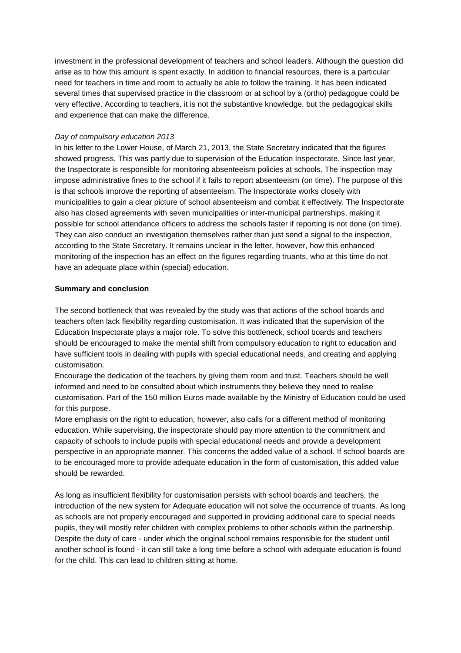investment in the professional development of teachers and school leaders. Although the question did arise as to how this amount is spent exactly. In addition to financial resources, there is a particular need for teachers in time and room to actually be able to follow the training. It has been indicated several times that supervised practice in the classroom or at school by a (ortho) pedagogue could be very effective. According to teachers, it is not the substantive knowledge, but the pedagogical skills and experience that can make the difference.

#### *Day of compulsory education 2013*

In his letter to the Lower House, of March 21, 2013, the State Secretary indicated that the figures showed progress. This was partly due to supervision of the Education Inspectorate. Since last year, the Inspectorate is responsible for monitoring absenteeism policies at schools. The inspection may impose administrative fines to the school if it fails to report absenteeism (on time). The purpose of this is that schools improve the reporting of absenteeism. The Inspectorate works closely with municipalities to gain a clear picture of school absenteeism and combat it effectively. The Inspectorate also has closed agreements with seven municipalities or inter-municipal partnerships, making it possible for school attendance officers to address the schools faster if reporting is not done (on time). They can also conduct an investigation themselves rather than just send a signal to the inspection, according to the State Secretary. It remains unclear in the letter, however, how this enhanced monitoring of the inspection has an effect on the figures regarding truants, who at this time do not have an adequate place within (special) education.

#### **Summary and conclusion**

The second bottleneck that was revealed by the study was that actions of the school boards and teachers often lack flexibility regarding customisation. It was indicated that the supervision of the Education Inspectorate plays a major role. To solve this bottleneck, school boards and teachers should be encouraged to make the mental shift from compulsory education to right to education and have sufficient tools in dealing with pupils with special educational needs, and creating and applying customisation.

Encourage the dedication of the teachers by giving them room and trust. Teachers should be well informed and need to be consulted about which instruments they believe they need to realise customisation. Part of the 150 million Euros made available by the Ministry of Education could be used for this purpose.

More emphasis on the right to education, however, also calls for a different method of monitoring education. While supervising, the inspectorate should pay more attention to the commitment and capacity of schools to include pupils with special educational needs and provide a development perspective in an appropriate manner. This concerns the added value of a school. If school boards are to be encouraged more to provide adequate education in the form of customisation, this added value should be rewarded.

As long as insufficient flexibility for customisation persists with school boards and teachers, the introduction of the new system for Adequate education will not solve the occurrence of truants. As long as schools are not properly encouraged and supported in providing additional care to special needs pupils, they will mostly refer children with complex problems to other schools within the partnership. Despite the duty of care - under which the original school remains responsible for the student until another school is found - it can still take a long time before a school with adequate education is found for the child. This can lead to children sitting at home.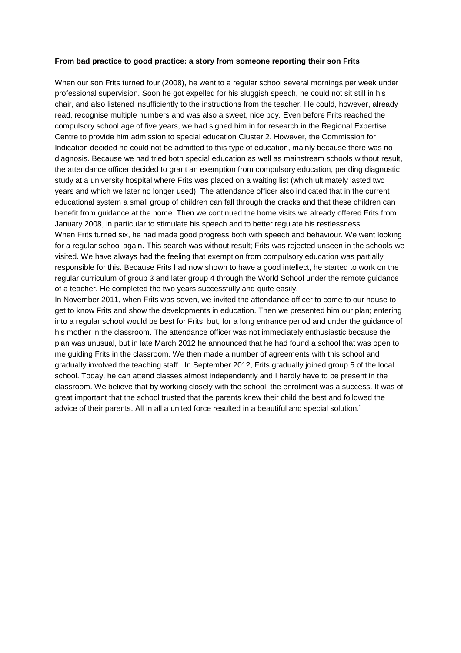#### **From bad practice to good practice: a story from someone reporting their son Frits**

When our son Frits turned four (2008), he went to a regular school several mornings per week under professional supervision. Soon he got expelled for his sluggish speech, he could not sit still in his chair, and also listened insufficiently to the instructions from the teacher. He could, however, already read, recognise multiple numbers and was also a sweet, nice boy. Even before Frits reached the compulsory school age of five years, we had signed him in for research in the Regional Expertise Centre to provide him admission to special education Cluster 2. However, the Commission for Indication decided he could not be admitted to this type of education, mainly because there was no diagnosis. Because we had tried both special education as well as mainstream schools without result, the attendance officer decided to grant an exemption from compulsory education, pending diagnostic study at a university hospital where Frits was placed on a waiting list (which ultimately lasted two years and which we later no longer used). The attendance officer also indicated that in the current educational system a small group of children can fall through the cracks and that these children can benefit from guidance at the home. Then we continued the home visits we already offered Frits from January 2008, in particular to stimulate his speech and to better regulate his restlessness.

When Frits turned six, he had made good progress both with speech and behaviour. We went looking for a regular school again. This search was without result; Frits was rejected unseen in the schools we visited. We have always had the feeling that exemption from compulsory education was partially responsible for this. Because Frits had now shown to have a good intellect, he started to work on the regular curriculum of group 3 and later group 4 through the World School under the remote guidance of a teacher. He completed the two years successfully and quite easily.

In November 2011, when Frits was seven, we invited the attendance officer to come to our house to get to know Frits and show the developments in education. Then we presented him our plan; entering into a regular school would be best for Frits, but, for a long entrance period and under the guidance of his mother in the classroom. The attendance officer was not immediately enthusiastic because the plan was unusual, but in late March 2012 he announced that he had found a school that was open to me guiding Frits in the classroom. We then made a number of agreements with this school and gradually involved the teaching staff. In September 2012, Frits gradually joined group 5 of the local school. Today, he can attend classes almost independently and I hardly have to be present in the classroom. We believe that by working closely with the school, the enrolment was a success. It was of great important that the school trusted that the parents knew their child the best and followed the advice of their parents. All in all a united force resulted in a beautiful and special solution."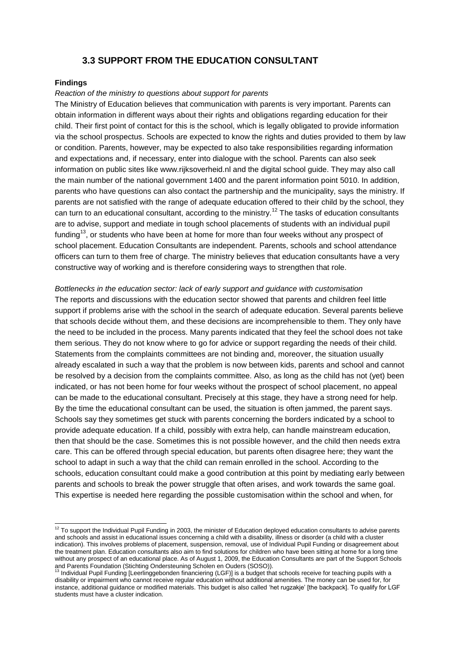## **3.3 SUPPORT FROM THE EDUCATION CONSULTANT**

#### **Findings**

l

#### *Reaction of the ministry to questions about support for parents*

The Ministry of Education believes that communication with parents is very important. Parents can obtain information in different ways about their rights and obligations regarding education for their child. Their first point of contact for this is the school, which is legally obligated to provide information via the school prospectus. Schools are expected to know the rights and duties provided to them by law or condition. Parents, however, may be expected to also take responsibilities regarding information and expectations and, if necessary, enter into dialogue with the school. Parents can also seek information on public sites like www.rijksoverheid.nl and the digital school guide. They may also call the main number of the national government 1400 and the parent information point 5010. In addition, parents who have questions can also contact the partnership and the municipality, says the ministry. If parents are not satisfied with the range of adequate education offered to their child by the school, they can turn to an educational consultant, according to the ministry.<sup>12</sup> The tasks of education consultants are to advise, support and mediate in tough school placements of students with an individual pupil funding<sup>13</sup>, or students who have been at home for more than four weeks without any prospect of school placement. Education Consultants are independent. Parents, schools and school attendance officers can turn to them free of charge. The ministry believes that education consultants have a very constructive way of working and is therefore considering ways to strengthen that role.

*Bottlenecks in the education sector: lack of early support and guidance with customisation* The reports and discussions with the education sector showed that parents and children feel little support if problems arise with the school in the search of adequate education. Several parents believe that schools decide without them, and these decisions are incomprehensible to them. They only have the need to be included in the process. Many parents indicated that they feel the school does not take them serious. They do not know where to go for advice or support regarding the needs of their child. Statements from the complaints committees are not binding and, moreover, the situation usually already escalated in such a way that the problem is now between kids, parents and school and cannot be resolved by a decision from the complaints committee. Also, as long as the child has not (yet) been indicated, or has not been home for four weeks without the prospect of school placement, no appeal can be made to the educational consultant. Precisely at this stage, they have a strong need for help. By the time the educational consultant can be used, the situation is often jammed, the parent says. Schools say they sometimes get stuck with parents concerning the borders indicated by a school to provide adequate education. If a child, possibly with extra help, can handle mainstream education, then that should be the case. Sometimes this is not possible however, and the child then needs extra care. This can be offered through special education, but parents often disagree here; they want the school to adapt in such a way that the child can remain enrolled in the school. According to the schools, education consultant could make a good contribution at this point by mediating early between parents and schools to break the power struggle that often arises, and work towards the same goal. This expertise is needed here regarding the possible customisation within the school and when, for

 $12$  To support the Individual Pupil Funding in 2003, the minister of Education deployed education consultants to advise parents and schools and assist in educational issues concerning a child with a disability, illness or disorder (a child with a cluster indication). This involves problems of placement, suspension, removal, use of Individual Pupil Funding or disagreement about the treatment plan. Education consultants also aim to find solutions for children who have been sitting at home for a long time without any prospect of an educational place. As of August 1, 2009, the Education Consultants are part of the Support Schools and Parents Foundation (Stichting Ondersteuning Scholen en Ouders (SOSO)).

<sup>&</sup>lt;sup>13</sup> Individual Pupil Funding [Leerlinggebonden financiering (LGF)] is a budget that schools receive for teaching pupils with a disability or impairment who cannot receive regular education without additional amenities. The money can be used for, for instance, additional guidance or modified materials. This budget is also called 'het rugzakje' [the backpack]. To qualify for LGF students must have a cluster indication.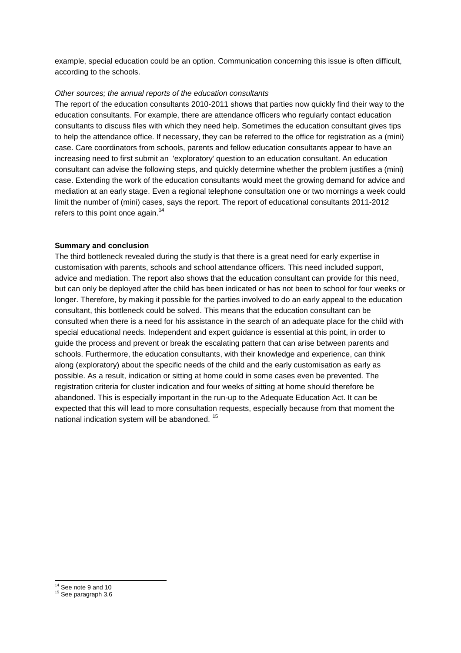example, special education could be an option. Communication concerning this issue is often difficult, according to the schools.

#### *Other sources; the annual reports of the education consultants*

The report of the education consultants 2010-2011 shows that parties now quickly find their way to the education consultants. For example, there are attendance officers who regularly contact education consultants to discuss files with which they need help. Sometimes the education consultant gives tips to help the attendance office. If necessary, they can be referred to the office for registration as a (mini) case. Care coordinators from schools, parents and fellow education consultants appear to have an increasing need to first submit an 'exploratory' question to an education consultant. An education consultant can advise the following steps, and quickly determine whether the problem justifies a (mini) case. Extending the work of the education consultants would meet the growing demand for advice and mediation at an early stage. Even a regional telephone consultation one or two mornings a week could limit the number of (mini) cases, says the report. The report of educational consultants 2011-2012 refers to this point once again.<sup>14</sup>

#### **Summary and conclusion**

The third bottleneck revealed during the study is that there is a great need for early expertise in customisation with parents, schools and school attendance officers. This need included support, advice and mediation. The report also shows that the education consultant can provide for this need, but can only be deployed after the child has been indicated or has not been to school for four weeks or longer. Therefore, by making it possible for the parties involved to do an early appeal to the education consultant, this bottleneck could be solved. This means that the education consultant can be consulted when there is a need for his assistance in the search of an adequate place for the child with special educational needs. Independent and expert guidance is essential at this point, in order to guide the process and prevent or break the escalating pattern that can arise between parents and schools. Furthermore, the education consultants, with their knowledge and experience, can think along (exploratory) about the specific needs of the child and the early customisation as early as possible. As a result, indication or sitting at home could in some cases even be prevented. The registration criteria for cluster indication and four weeks of sitting at home should therefore be abandoned. This is especially important in the run-up to the Adequate Education Act. It can be expected that this will lead to more consultation requests, especially because from that moment the national indication system will be abandoned. <sup>15</sup>

l <sup>14</sup> See note 9 and 10

<sup>&</sup>lt;sup>15</sup> See paragraph 3.6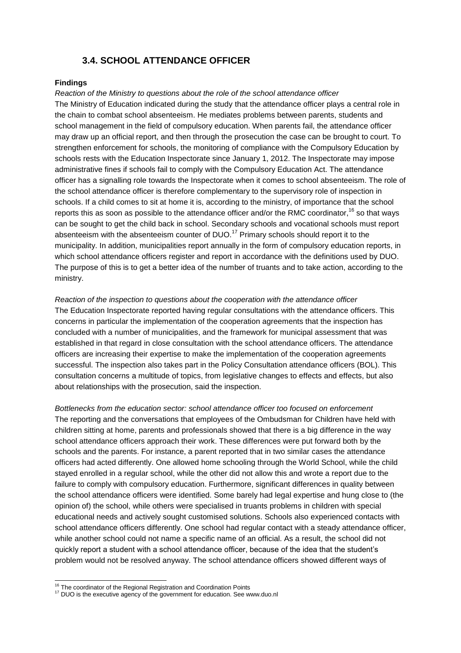## **3.4. SCHOOL ATTENDANCE OFFICER**

#### **Findings**

*Reaction of the Ministry to questions about the role of the school attendance officer* The Ministry of Education indicated during the study that the attendance officer plays a central role in the chain to combat school absenteeism. He mediates problems between parents, students and school management in the field of compulsory education. When parents fail, the attendance officer may draw up an official report, and then through the prosecution the case can be brought to court. To strengthen enforcement for schools, the monitoring of compliance with the Compulsory Education by schools rests with the Education Inspectorate since January 1, 2012. The Inspectorate may impose administrative fines if schools fail to comply with the Compulsory Education Act. The attendance officer has a signalling role towards the Inspectorate when it comes to school absenteeism. The role of the school attendance officer is therefore complementary to the supervisory role of inspection in schools. If a child comes to sit at home it is, according to the ministry, of importance that the school reports this as soon as possible to the attendance officer and/or the RMC coordinator,<sup>16</sup> so that wavs can be sought to get the child back in school. Secondary schools and vocational schools must report absenteeism with the absenteeism counter of DUO.<sup>17</sup> Primary schools should report it to the municipality. In addition, municipalities report annually in the form of compulsory education reports, in which school attendance officers register and report in accordance with the definitions used by DUO. The purpose of this is to get a better idea of the number of truants and to take action, according to the ministry.

*Reaction of the inspection to questions about the cooperation with the attendance officer* The Education Inspectorate reported having regular consultations with the attendance officers. This concerns in particular the implementation of the cooperation agreements that the inspection has concluded with a number of municipalities, and the framework for municipal assessment that was established in that regard in close consultation with the school attendance officers. The attendance officers are increasing their expertise to make the implementation of the cooperation agreements successful. The inspection also takes part in the Policy Consultation attendance officers (BOL). This consultation concerns a multitude of topics, from legislative changes to effects and effects, but also about relationships with the prosecution, said the inspection.

*Bottlenecks from the education sector: school attendance officer too focused on enforcement* The reporting and the conversations that employees of the Ombudsman for Children have held with children sitting at home, parents and professionals showed that there is a big difference in the way school attendance officers approach their work. These differences were put forward both by the schools and the parents. For instance, a parent reported that in two similar cases the attendance officers had acted differently. One allowed home schooling through the World School, while the child stayed enrolled in a regular school, while the other did not allow this and wrote a report due to the failure to comply with compulsory education. Furthermore, significant differences in quality between the school attendance officers were identified. Some barely had legal expertise and hung close to (the opinion of) the school, while others were specialised in truants problems in children with special educational needs and actively sought customised solutions. Schools also experienced contacts with school attendance officers differently. One school had regular contact with a steady attendance officer, while another school could not name a specific name of an official. As a result, the school did not quickly report a student with a school attendance officer, because of the idea that the student's problem would not be resolved anyway. The school attendance officers showed different ways of

l <sup>16</sup> The coordinator of the Regional Registration and Coordination Points

<sup>&</sup>lt;sup>17</sup> DUO is the executive agency of the government for education. See www.duo.nl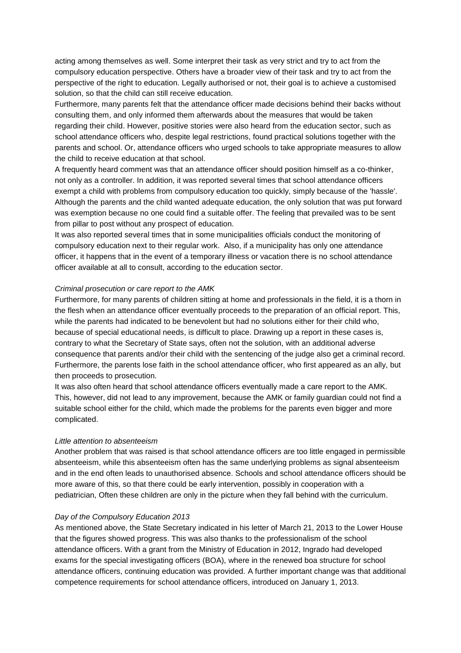acting among themselves as well. Some interpret their task as very strict and try to act from the compulsory education perspective. Others have a broader view of their task and try to act from the perspective of the right to education. Legally authorised or not, their goal is to achieve a customised solution, so that the child can still receive education.

Furthermore, many parents felt that the attendance officer made decisions behind their backs without consulting them, and only informed them afterwards about the measures that would be taken regarding their child. However, positive stories were also heard from the education sector, such as school attendance officers who, despite legal restrictions, found practical solutions together with the parents and school. Or, attendance officers who urged schools to take appropriate measures to allow the child to receive education at that school.

A frequently heard comment was that an attendance officer should position himself as a co-thinker, not only as a controller. In addition, it was reported several times that school attendance officers exempt a child with problems from compulsory education too quickly, simply because of the 'hassle'. Although the parents and the child wanted adequate education, the only solution that was put forward was exemption because no one could find a suitable offer. The feeling that prevailed was to be sent from pillar to post without any prospect of education.

It was also reported several times that in some municipalities officials conduct the monitoring of compulsory education next to their regular work. Also, if a municipality has only one attendance officer, it happens that in the event of a temporary illness or vacation there is no school attendance officer available at all to consult, according to the education sector.

#### *Criminal prosecution or care report to the AMK*

Furthermore, for many parents of children sitting at home and professionals in the field, it is a thorn in the flesh when an attendance officer eventually proceeds to the preparation of an official report. This, while the parents had indicated to be benevolent but had no solutions either for their child who, because of special educational needs, is difficult to place. Drawing up a report in these cases is, contrary to what the Secretary of State says, often not the solution, with an additional adverse consequence that parents and/or their child with the sentencing of the judge also get a criminal record. Furthermore, the parents lose faith in the school attendance officer, who first appeared as an ally, but then proceeds to prosecution.

It was also often heard that school attendance officers eventually made a care report to the AMK. This, however, did not lead to any improvement, because the AMK or family guardian could not find a suitable school either for the child, which made the problems for the parents even bigger and more complicated.

#### *Little attention to absenteeism*

Another problem that was raised is that school attendance officers are too little engaged in permissible absenteeism, while this absenteeism often has the same underlying problems as signal absenteeism and in the end often leads to unauthorised absence. Schools and school attendance officers should be more aware of this, so that there could be early intervention, possibly in cooperation with a pediatrician, Often these children are only in the picture when they fall behind with the curriculum.

#### *Day of the Compulsory Education 2013*

As mentioned above, the State Secretary indicated in his letter of March 21, 2013 to the Lower House that the figures showed progress. This was also thanks to the professionalism of the school attendance officers. With a grant from the Ministry of Education in 2012, Ingrado had developed exams for the special investigating officers (BOA), where in the renewed boa structure for school attendance officers, continuing education was provided. A further important change was that additional competence requirements for school attendance officers, introduced on January 1, 2013.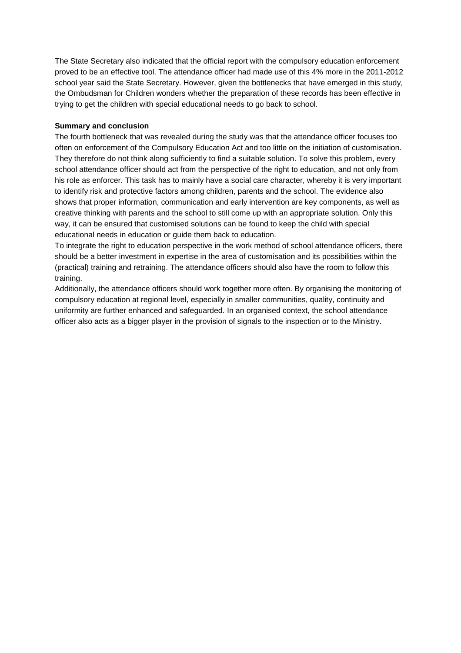The State Secretary also indicated that the official report with the compulsory education enforcement proved to be an effective tool. The attendance officer had made use of this 4% more in the 2011-2012 school year said the State Secretary. However, given the bottlenecks that have emerged in this study, the Ombudsman for Children wonders whether the preparation of these records has been effective in trying to get the children with special educational needs to go back to school.

#### **Summary and conclusion**

The fourth bottleneck that was revealed during the study was that the attendance officer focuses too often on enforcement of the Compulsory Education Act and too little on the initiation of customisation. They therefore do not think along sufficiently to find a suitable solution. To solve this problem, every school attendance officer should act from the perspective of the right to education, and not only from his role as enforcer. This task has to mainly have a social care character, whereby it is very important to identify risk and protective factors among children, parents and the school. The evidence also shows that proper information, communication and early intervention are key components, as well as creative thinking with parents and the school to still come up with an appropriate solution. Only this way, it can be ensured that customised solutions can be found to keep the child with special educational needs in education or guide them back to education.

To integrate the right to education perspective in the work method of school attendance officers, there should be a better investment in expertise in the area of customisation and its possibilities within the (practical) training and retraining. The attendance officers should also have the room to follow this training.

Additionally, the attendance officers should work together more often. By organising the monitoring of compulsory education at regional level, especially in smaller communities, quality, continuity and uniformity are further enhanced and safeguarded. In an organised context, the school attendance officer also acts as a bigger player in the provision of signals to the inspection or to the Ministry.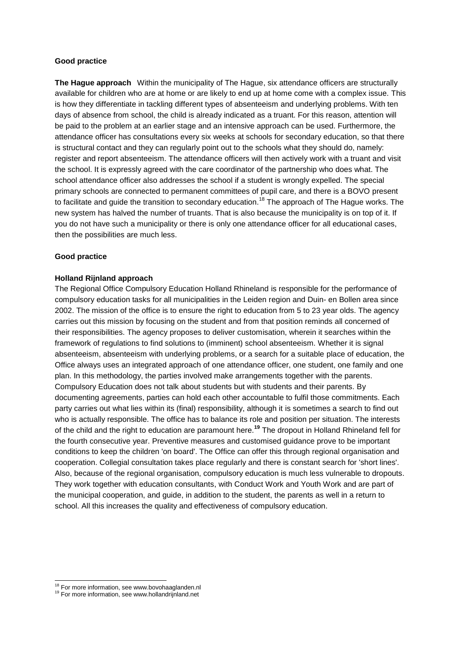#### **Good practice**

**The Hague approach** Within the municipality of The Hague, six attendance officers are structurally available for children who are at home or are likely to end up at home come with a complex issue. This is how they differentiate in tackling different types of absenteeism and underlying problems. With ten days of absence from school, the child is already indicated as a truant. For this reason, attention will be paid to the problem at an earlier stage and an intensive approach can be used. Furthermore, the attendance officer has consultations every six weeks at schools for secondary education, so that there is structural contact and they can regularly point out to the schools what they should do, namely: register and report absenteeism. The attendance officers will then actively work with a truant and visit the school. It is expressly agreed with the care coordinator of the partnership who does what. The school attendance officer also addresses the school if a student is wrongly expelled. The special primary schools are connected to permanent committees of pupil care, and there is a BOVO present to facilitate and guide the transition to secondary education.<sup>18</sup> The approach of The Hague works. The new system has halved the number of truants. That is also because the municipality is on top of it. If you do not have such a municipality or there is only one attendance officer for all educational cases, then the possibilities are much less.

#### **Good practice**

#### **Holland Rijnland approach**

The Regional Office Compulsory Education Holland Rhineland is responsible for the performance of compulsory education tasks for all municipalities in the Leiden region and Duin- en Bollen area since 2002. The mission of the office is to ensure the right to education from 5 to 23 year olds. The agency carries out this mission by focusing on the student and from that position reminds all concerned of their responsibilities. The agency proposes to deliver customisation, wherein it searches within the framework of regulations to find solutions to (imminent) school absenteeism. Whether it is signal absenteeism, absenteeism with underlying problems, or a search for a suitable place of education, the Office always uses an integrated approach of one attendance officer, one student, one family and one plan. In this methodology, the parties involved make arrangements together with the parents. Compulsory Education does not talk about students but with students and their parents. By documenting agreements, parties can hold each other accountable to fulfil those commitments. Each party carries out what lies within its (final) responsibility, although it is sometimes a search to find out who is actually responsible. The office has to balance its role and position per situation. The interests of the child and the right to education are paramount here.**<sup>19</sup>** The dropout in Holland Rhineland fell for the fourth consecutive year. Preventive measures and customised guidance prove to be important conditions to keep the children 'on board'. The Office can offer this through regional organisation and cooperation. Collegial consultation takes place regularly and there is constant search for 'short lines'. Also, because of the regional organisation, compulsory education is much less vulnerable to dropouts. They work together with education consultants, with Conduct Work and Youth Work and are part of the municipal cooperation, and guide, in addition to the student, the parents as well in a return to school. All this increases the quality and effectiveness of compulsory education.

l

<sup>&</sup>lt;sup>18</sup> For more information, see www.bovohaaglanden.nl

<sup>19</sup> For more information, see www.hollandrijnland.net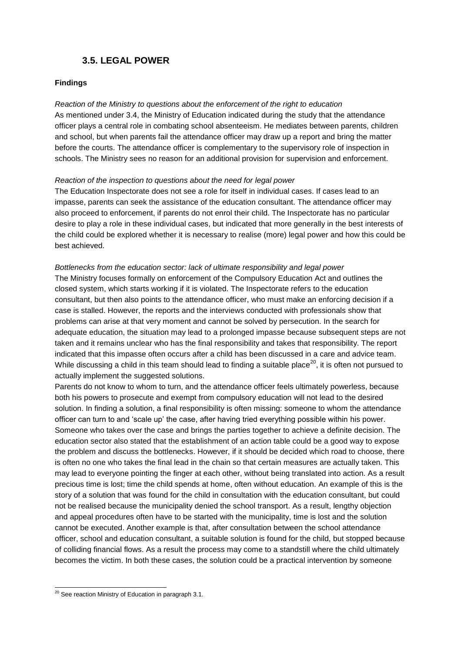## **3.5. LEGAL POWER**

#### **Findings**

*Reaction of the Ministry to questions about the enforcement of the right to education* As mentioned under 3.4, the Ministry of Education indicated during the study that the attendance officer plays a central role in combating school absenteeism. He mediates between parents, children and school, but when parents fail the attendance officer may draw up a report and bring the matter before the courts. The attendance officer is complementary to the supervisory role of inspection in schools. The Ministry sees no reason for an additional provision for supervision and enforcement.

#### *Reaction of the inspection to questions about the need for legal power*

The Education Inspectorate does not see a role for itself in individual cases. If cases lead to an impasse, parents can seek the assistance of the education consultant. The attendance officer may also proceed to enforcement, if parents do not enrol their child. The Inspectorate has no particular desire to play a role in these individual cases, but indicated that more generally in the best interests of the child could be explored whether it is necessary to realise (more) legal power and how this could be best achieved.

#### *Bottlenecks from the education sector: lack of ultimate responsibility and legal power*

The Ministry focuses formally on enforcement of the Compulsory Education Act and outlines the closed system, which starts working if it is violated. The Inspectorate refers to the education consultant, but then also points to the attendance officer, who must make an enforcing decision if a case is stalled. However, the reports and the interviews conducted with professionals show that problems can arise at that very moment and cannot be solved by persecution. In the search for adequate education, the situation may lead to a prolonged impasse because subsequent steps are not taken and it remains unclear who has the final responsibility and takes that responsibility. The report indicated that this impasse often occurs after a child has been discussed in a care and advice team. While discussing a child in this team should lead to finding a suitable place<sup>20</sup>, it is often not pursued to actually implement the suggested solutions.

Parents do not know to whom to turn, and the attendance officer feels ultimately powerless, because both his powers to prosecute and exempt from compulsory education will not lead to the desired solution. In finding a solution, a final responsibility is often missing: someone to whom the attendance officer can turn to and 'scale up' the case, after having tried everything possible within his power. Someone who takes over the case and brings the parties together to achieve a definite decision. The education sector also stated that the establishment of an action table could be a good way to expose the problem and discuss the bottlenecks. However, if it should be decided which road to choose, there is often no one who takes the final lead in the chain so that certain measures are actually taken. This may lead to everyone pointing the finger at each other, without being translated into action. As a result precious time is lost; time the child spends at home, often without education. An example of this is the story of a solution that was found for the child in consultation with the education consultant, but could not be realised because the municipality denied the school transport. As a result, lengthy objection and appeal procedures often have to be started with the municipality, time is lost and the solution cannot be executed. Another example is that, after consultation between the school attendance officer, school and education consultant, a suitable solution is found for the child, but stopped because of colliding financial flows. As a result the process may come to a standstill where the child ultimately becomes the victim. In both these cases, the solution could be a practical intervention by someone

 $\overline{a}$  $20$  See reaction Ministry of Education in paragraph 3.1.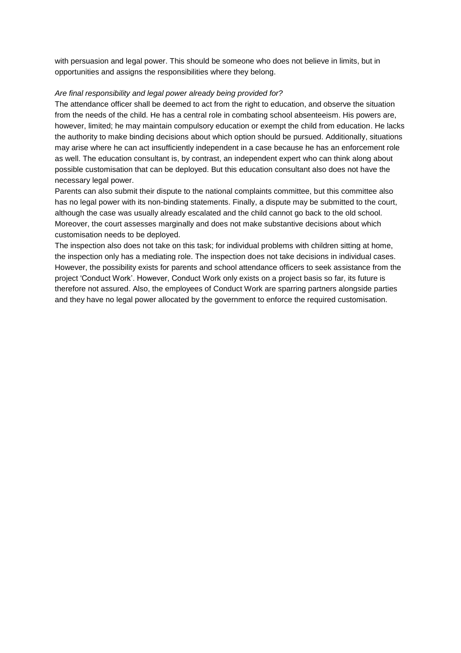with persuasion and legal power. This should be someone who does not believe in limits, but in opportunities and assigns the responsibilities where they belong.

#### *Are final responsibility and legal power already being provided for?*

The attendance officer shall be deemed to act from the right to education, and observe the situation from the needs of the child. He has a central role in combating school absenteeism. His powers are, however, limited; he may maintain compulsory education or exempt the child from education. He lacks the authority to make binding decisions about which option should be pursued. Additionally, situations may arise where he can act insufficiently independent in a case because he has an enforcement role as well. The education consultant is, by contrast, an independent expert who can think along about possible customisation that can be deployed. But this education consultant also does not have the necessary legal power.

Parents can also submit their dispute to the national complaints committee, but this committee also has no legal power with its non-binding statements. Finally, a dispute may be submitted to the court, although the case was usually already escalated and the child cannot go back to the old school. Moreover, the court assesses marginally and does not make substantive decisions about which customisation needs to be deployed.

The inspection also does not take on this task; for individual problems with children sitting at home, the inspection only has a mediating role. The inspection does not take decisions in individual cases. However, the possibility exists for parents and school attendance officers to seek assistance from the project 'Conduct Work'. However, Conduct Work only exists on a project basis so far, its future is therefore not assured. Also, the employees of Conduct Work are sparring partners alongside parties and they have no legal power allocated by the government to enforce the required customisation.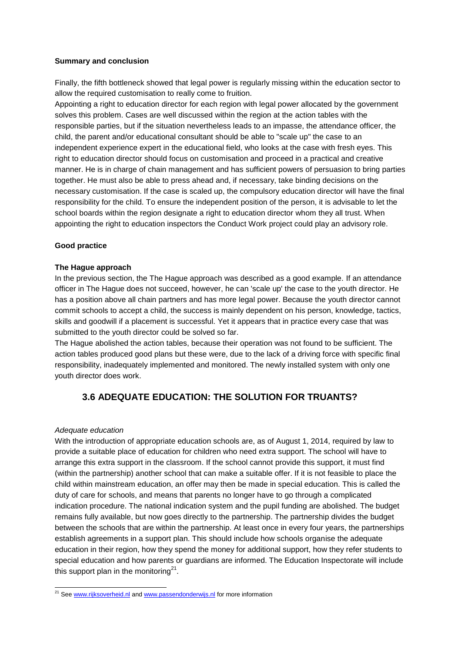#### **Summary and conclusion**

Finally, the fifth bottleneck showed that legal power is regularly missing within the education sector to allow the required customisation to really come to fruition.

Appointing a right to education director for each region with legal power allocated by the government solves this problem. Cases are well discussed within the region at the action tables with the responsible parties, but if the situation nevertheless leads to an impasse, the attendance officer, the child, the parent and/or educational consultant should be able to "scale up" the case to an independent experience expert in the educational field, who looks at the case with fresh eyes. This right to education director should focus on customisation and proceed in a practical and creative manner. He is in charge of chain management and has sufficient powers of persuasion to bring parties together. He must also be able to press ahead and, if necessary, take binding decisions on the necessary customisation. If the case is scaled up, the compulsory education director will have the final responsibility for the child. To ensure the independent position of the person, it is advisable to let the school boards within the region designate a right to education director whom they all trust. When appointing the right to education inspectors the Conduct Work project could play an advisory role.

#### **Good practice**

#### **The Hague approach**

In the previous section, the The Hague approach was described as a good example. If an attendance officer in The Hague does not succeed, however, he can 'scale up' the case to the youth director. He has a position above all chain partners and has more legal power. Because the youth director cannot commit schools to accept a child, the success is mainly dependent on his person, knowledge, tactics, skills and goodwill if a placement is successful. Yet it appears that in practice every case that was submitted to the youth director could be solved so far.

The Hague abolished the action tables, because their operation was not found to be sufficient. The action tables produced good plans but these were, due to the lack of a driving force with specific final responsibility, inadequately implemented and monitored. The newly installed system with only one youth director does work.

## **3.6 ADEQUATE EDUCATION: THE SOLUTION FOR TRUANTS?**

#### *Adequate education*

With the introduction of appropriate education schools are, as of August 1, 2014, required by law to provide a suitable place of education for children who need extra support. The school will have to arrange this extra support in the classroom. If the school cannot provide this support, it must find (within the partnership) another school that can make a suitable offer. If it is not feasible to place the child within mainstream education, an offer may then be made in special education. This is called the duty of care for schools, and means that parents no longer have to go through a complicated indication procedure. The national indication system and the pupil funding are abolished. The budget remains fully available, but now goes directly to the partnership. The partnership divides the budget between the schools that are within the partnership. At least once in every four years, the partnerships establish agreements in a support plan. This should include how schools organise the adequate education in their region, how they spend the money for additional support, how they refer students to special education and how parents or guardians are informed. The Education Inspectorate will include this support plan in the monitoring<sup>21</sup>.

 $\overline{a}$ <sup>21</sup> See [www.rijksoverheid.nl](http://www.rijksoverheid.nl/) and [www.passendonderwijs.nl](http://www.passendonderwijs.nl/) for more information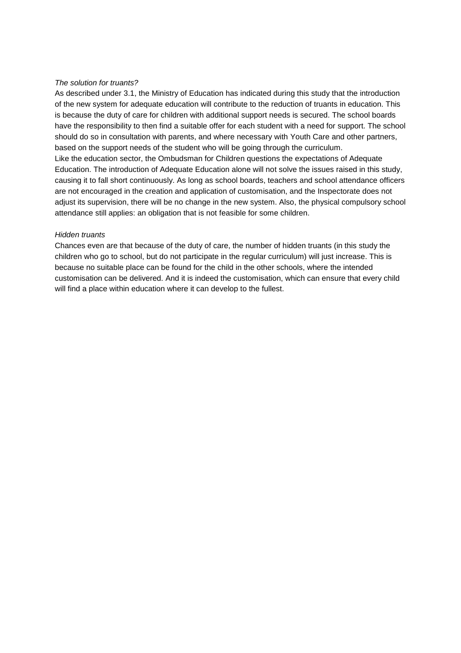#### *The solution for truants?*

As described under 3.1, the Ministry of Education has indicated during this study that the introduction of the new system for adequate education will contribute to the reduction of truants in education. This is because the duty of care for children with additional support needs is secured. The school boards have the responsibility to then find a suitable offer for each student with a need for support. The school should do so in consultation with parents, and where necessary with Youth Care and other partners, based on the support needs of the student who will be going through the curriculum. Like the education sector, the Ombudsman for Children questions the expectations of Adequate Education. The introduction of Adequate Education alone will not solve the issues raised in this study, causing it to fall short continuously. As long as school boards, teachers and school attendance officers are not encouraged in the creation and application of customisation, and the Inspectorate does not adjust its supervision, there will be no change in the new system. Also, the physical compulsory school attendance still applies: an obligation that is not feasible for some children.

#### *Hidden truants*

Chances even are that because of the duty of care, the number of hidden truants (in this study the children who go to school, but do not participate in the regular curriculum) will just increase. This is because no suitable place can be found for the child in the other schools, where the intended customisation can be delivered. And it is indeed the customisation, which can ensure that every child will find a place within education where it can develop to the fullest.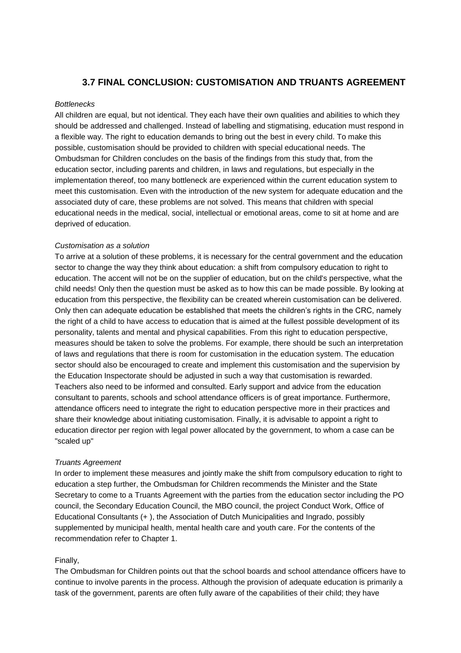### **3.7 FINAL CONCLUSION: CUSTOMISATION AND TRUANTS AGREEMENT**

#### *Bottlenecks*

All children are equal, but not identical. They each have their own qualities and abilities to which they should be addressed and challenged. Instead of labelling and stigmatising, education must respond in a flexible way. The right to education demands to bring out the best in every child. To make this possible, customisation should be provided to children with special educational needs. The Ombudsman for Children concludes on the basis of the findings from this study that, from the education sector, including parents and children, in laws and regulations, but especially in the implementation thereof, too many bottleneck are experienced within the current education system to meet this customisation. Even with the introduction of the new system for adequate education and the associated duty of care, these problems are not solved. This means that children with special educational needs in the medical, social, intellectual or emotional areas, come to sit at home and are deprived of education.

#### *Customisation as a solution*

To arrive at a solution of these problems, it is necessary for the central government and the education sector to change the way they think about education: a shift from compulsory education to right to education. The accent will not be on the supplier of education, but on the child's perspective, what the child needs! Only then the question must be asked as to how this can be made possible. By looking at education from this perspective, the flexibility can be created wherein customisation can be delivered. Only then can adequate education be established that meets the children's rights in the CRC, namely the right of a child to have access to education that is aimed at the fullest possible development of its personality, talents and mental and physical capabilities. From this right to education perspective, measures should be taken to solve the problems. For example, there should be such an interpretation of laws and regulations that there is room for customisation in the education system. The education sector should also be encouraged to create and implement this customisation and the supervision by the Education Inspectorate should be adjusted in such a way that customisation is rewarded. Teachers also need to be informed and consulted. Early support and advice from the education consultant to parents, schools and school attendance officers is of great importance. Furthermore, attendance officers need to integrate the right to education perspective more in their practices and share their knowledge about initiating customisation. Finally, it is advisable to appoint a right to education director per region with legal power allocated by the government, to whom a case can be "scaled up"

#### *Truants Agreement*

In order to implement these measures and jointly make the shift from compulsory education to right to education a step further, the Ombudsman for Children recommends the Minister and the State Secretary to come to a Truants Agreement with the parties from the education sector including the PO council, the Secondary Education Council, the MBO council, the project Conduct Work, Office of Educational Consultants (+ ), the Association of Dutch Municipalities and Ingrado, possibly supplemented by municipal health, mental health care and youth care. For the contents of the recommendation refer to Chapter 1.

#### Finally,

The Ombudsman for Children points out that the school boards and school attendance officers have to continue to involve parents in the process. Although the provision of adequate education is primarily a task of the government, parents are often fully aware of the capabilities of their child; they have